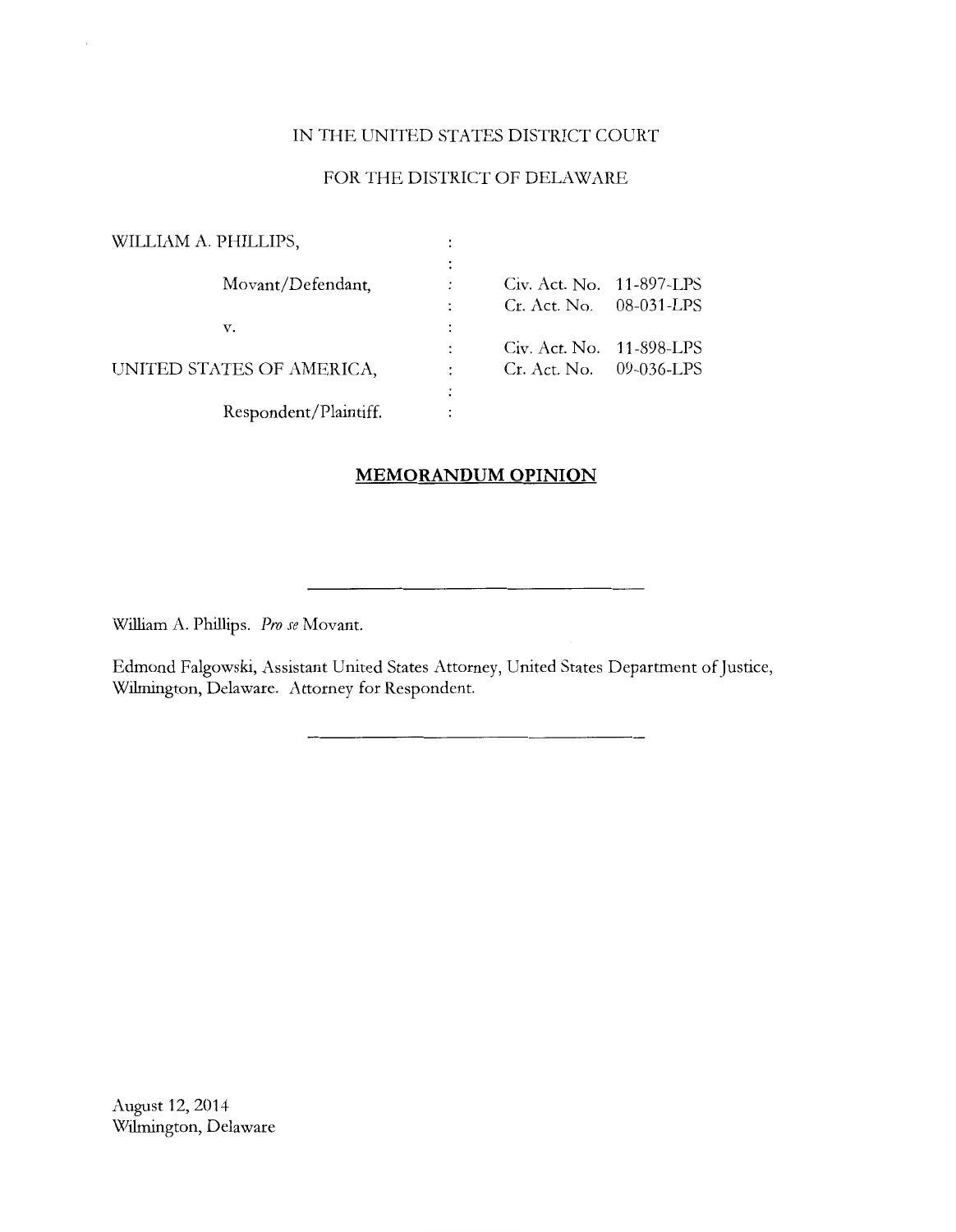# IN THE UNITED STATES DISTRICT COURT

# FOR THE DISTRICT OF DELAWARE

| WILLIAM A. PHILLIPS,      |                          |  |
|---------------------------|--------------------------|--|
|                           |                          |  |
| Movant/Defendant,         | Civ. Act. No. 11-897-LPS |  |
|                           | Cr. Act. No. 08-031-LPS  |  |
| v.                        |                          |  |
|                           | Civ. Act. No. 11-898-LPS |  |
| UNITED STATES OF AMERICA, | Cr. Act. No. 09-036-LPS  |  |
|                           |                          |  |
| Respondent/Plaintiff.     |                          |  |

# **MEMORANDUM OPINION**

William A. Phillips. *Pro se* Movant.

Edmond Falgowski, Assistant United States Attorney, United States Department of Justice, Wilmington, Delaware. Attorney for Respondent.

August 12, 2014 Wilmington, Delaware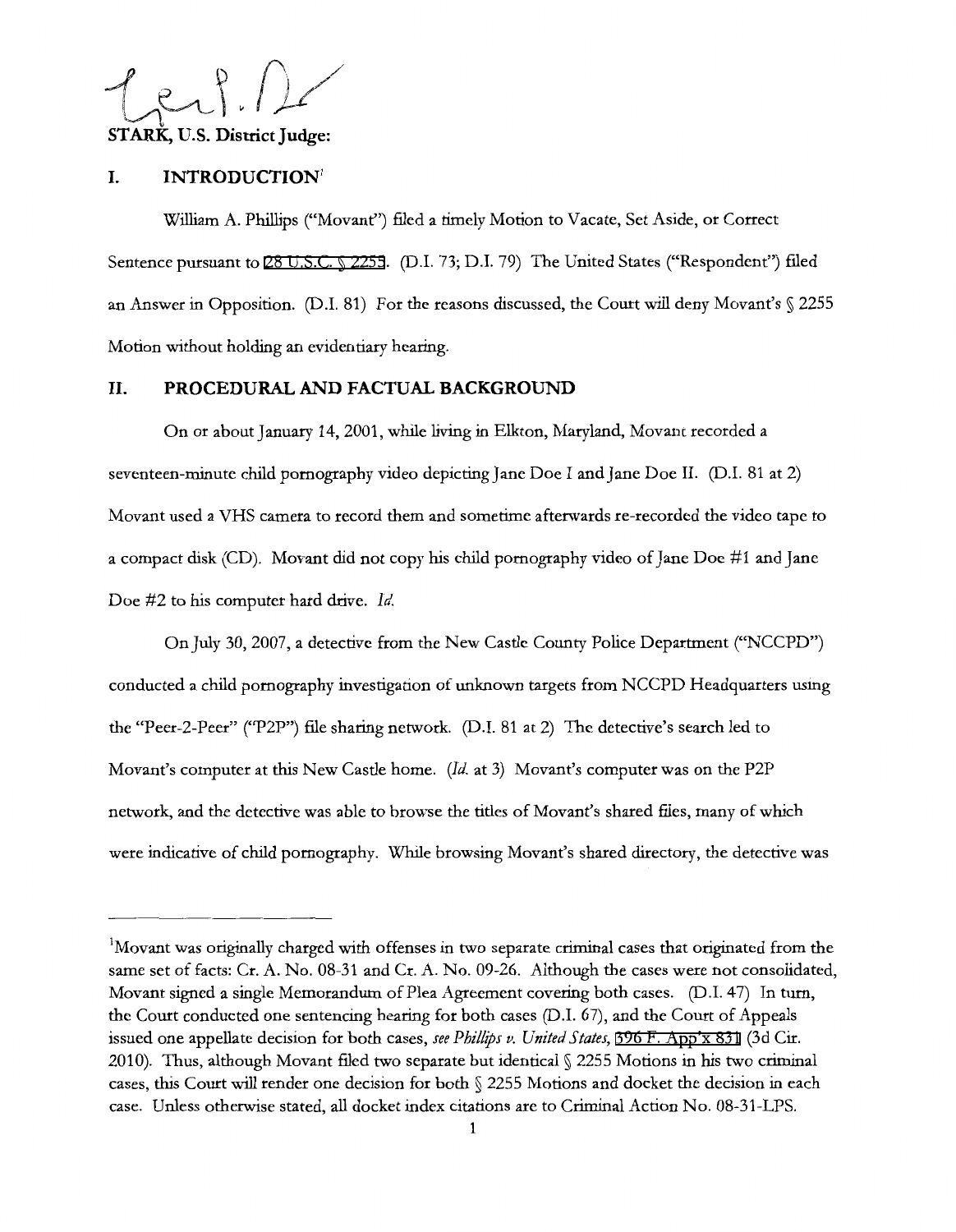$781.11$ **STARK,** U.S. **District Judge:** 

#### **I. INTRODUCTION<sup>1</sup>**

William A. Phillips ("Movant") filed a timely Motion to Vacate, Set Aside, or Correct Sentence pursuant to [28 U.S.C. § 2255](http://www.google.com/search?q=28+u.s.c.++2255). (D.I. 73; D.I. 79) The United States ("Respondent") filed an Answer in Opposition. (D.I. 81) For the reasons discussed, the Court will deny Movant's § 2255 Motion without holding an evidentiary hearing.

# **11. PROCEDURAL AND FACTUAL BACKGROUND**

On or about January 14, 2001, while living in Elkton, Maryland, Movant recorded a seventeen-minute child pornography video depicting Jane Doe I and Jane Doe II. (D.I. 81 at 2) Movant used a VHS camera to record them and sometime afterwards re-recorded the video tape to a compact disk (CD). Movant did not copy his child pornography video of Jane Doe #1 and Jane Doe #2 to his computer hard drive. *Id.* 

On July 30, 2007, a detective from the New Castle County Police Department ("NCCPD") conducted a child pornography investigation of unknown targets from NCCPD Headquarters using the "Peer-2-Peer" ("P2P") file sharing network. (D.I. 81 at 2) The detective's search led to Movant's computer at this New Castle home. *(Id.* at 3) Movant's computer was on the P2P network, and the detective was able to browse the titles of Movant's shared files, many of which were indicative of child pornography. While browsing Movant's shared directory, the detective was

<sup>1</sup> Movant was originally charged with offenses in two separate criminal cases that originated from the same set of facts: Cr. A. No. 08-31 and Cr. A. No. 09-26. Although the cases were not consolidated, Movant signed a single Memorandum of Plea Agreement covering both cases. (D.I. 47) In tum, the Court conducted one sentencing hearing for both cases (D.I. 67), and the Court of Appeals issued one appellate decision for both cases, *see Phillips v. United States,* [396 F. App'x 831](http://scholar.google.com/scholar?q=396++f.++app) (3d Cir. 2010). Thus, although Movant filed two separate but identical§ 2255 Motions in his two criminal cases, this Court will render one decision for both § 2255 Motions and docket the decision in each case. Unless otherwise stated, all docket index citations are to Criminal Action No. 08-31-LPS.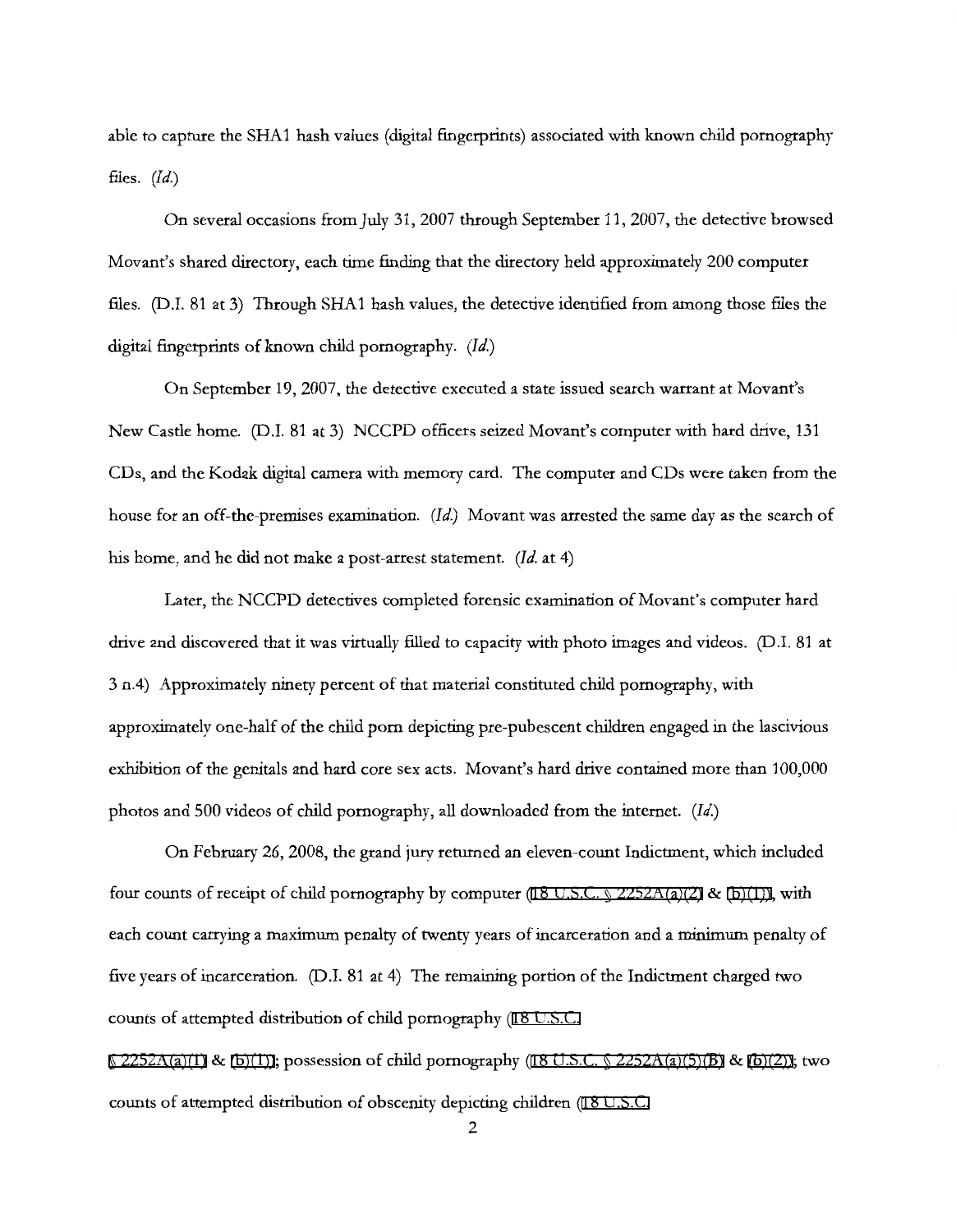able to capture the SHA1 hash values (digital fingerprints) associated with known child pornography files. *(Id.)* 

On several occasions from July 31, 2007 through September 11, 2007, the detective browsed Movant's shared directory, each time finding that the directory held approximately 200 computer files. (D.l. 81 at 3) Through SHA1 hash values, the detective identified from among those files the digital fingerprints of known child pornography. *(Id.)* 

On September 19, 2007, the detective executed a state issued search warrant at Movant's New Castle home. (D.I. 81at3) NCCPD officers seized Movant's computer with hard drive, 131 CDs, and the Kodak digital camera with memory card. The computer and CDs were taken from the house for an off-the-premises examination. *(Id.)* Movant was arrested the same day as the search of his home, and he did not make a post-arrest statement. (Id. at 4)

Later, the NCCPD detectives completed forensic examination of Movant's computer hard drive and discovered that it was virtually filled to capacity with photo images and videos. (D.I. 81 at 3 n.4) Approximately ninety percent of that material constituted child pornography, with approximately one-half of the child porn depicting pre-pubescent children engaged in the lascivious exhibition of the genitals and hard core sex acts. Movant's hard drive contained more than 100,000 photos and 500 videos of child pornography, all downloaded from the internet. *(Id.)* 

On February 26, 2008, the grand jury returned an eleven-count Indictment, which included four counts of receipt of child pornography by computer [\(18 U.S.C. § 2252A\(a\)\(2\)](http://www.google.com/search?q=18+u.s.c.++2252a(a)(2)) & [\(b\)\(1\)\),](http://www.google.com/search?q=18+u.s.c.+2252a(b)(1))) with each count carrying a maximum penalty of twenty years of incarceration and a minimum penalty of five years of incarceration. (D.I. 81 at 4) The remaining portion of the Indictment charged two counts of attempted distribution of child pornography (18 U.S.C.

 $\S$  2252A(a)(1) & [\(b\)\(1\)\);](http://www.google.com/search?q=18+u.s.c.++2252a(b)(1))) possession of child pornography (18 U.S.C.  $\S$  2252A(a)(5)(B) & [\(b\)\(2\)\)](http://www.google.com/search?q=18+u.s.c.+2252a(b)(2))); two counts of attempted distribution of obscenity depicting children [\(18 U.S.C.](http://www.google.com/search?q=18+u.s.c.+++1446a(a)(2)(a))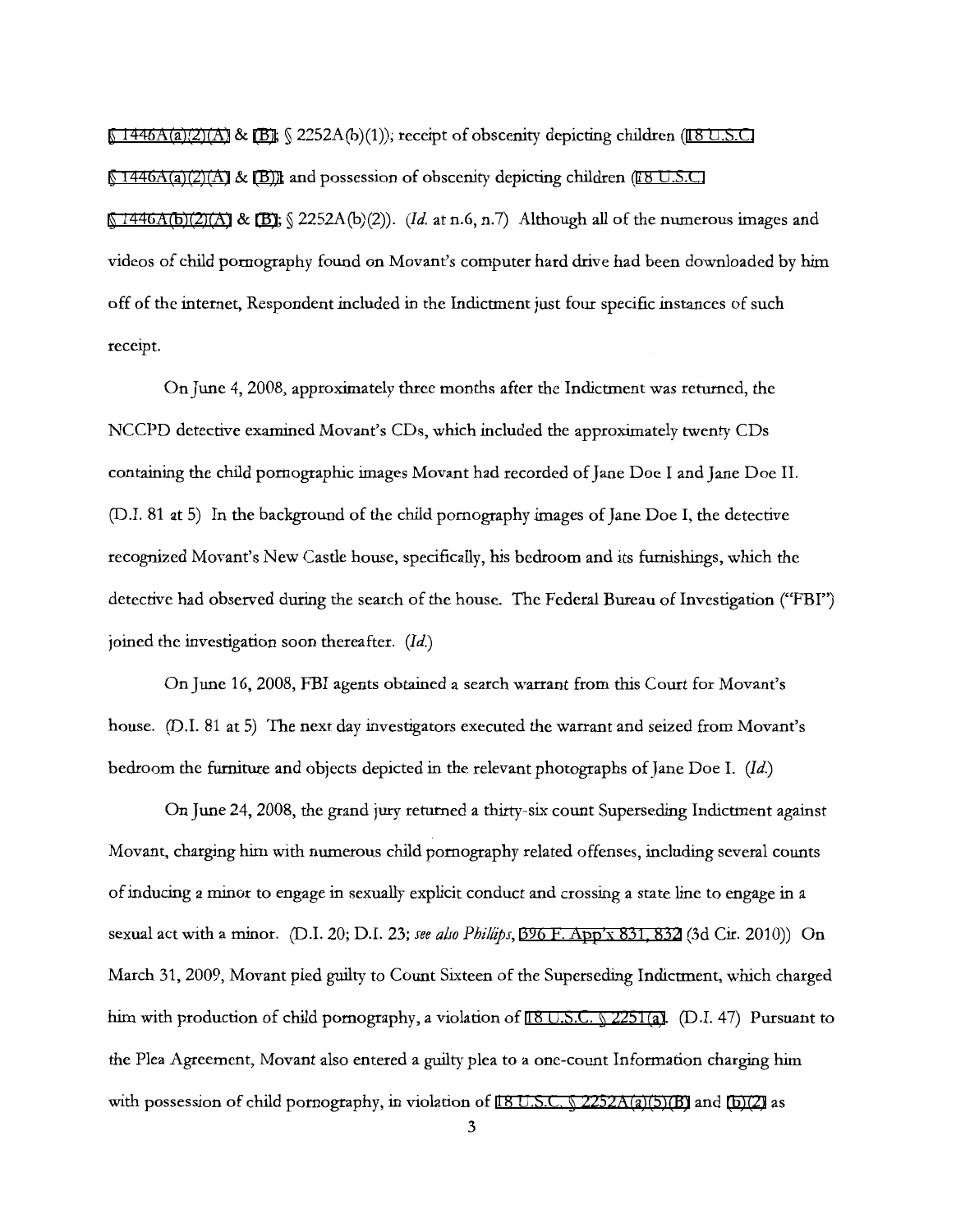$\S$  1446A(a)(2)(A) & [\(B\);](http://www.google.com/search?q=18+u.s.c.++1446a(b))  $\S$  2252A(b)(1)); receipt of obscenity depicting children [\(18 U.S.C.](http://www.google.com/search?q=18+u.s.c.+1446a(a)(2)(a))

 $\S$  [1446A\(a\)\(2\)\(A\)](http://www.google.com/search?q=18+u.s.c.+1446a(a)(2)(a)) & [\(B\)\);](http://www.google.com/search?q=18+u.s.c.1446a(b))) and possession of obscenity depicting children [\(18 U.S.C.](http://www.google.com/search?q=18+u.s.c.+++1446a(b)(2)(a))

 $\{(1446A(b)(2)(A) \& (B); \{(2252A(b)(2))\})$  $\{(1446A(b)(2)(A) \& (B); \{(2252A(b)(2))\})$  $\{(1446A(b)(2)(A) \& (B); \{(2252A(b)(2))\})$ . *(Id.* at n.6, n.7) Although all of the numerous images and videos of child pornography found on Movant's computer hard drive had been downloaded by him off of the internet, Respondent included in the Indictment just four specific instances of such receipt.

On June 4, 2008, approximately three months after the Indictment was returned, the NCCPD detective examined Movant's CDs, which included the approximately twenty CDs containing the child pornographic images Movant had recorded of Jane Doe I and Jane Doe II. (D.I. 81 at 5) In the background of the child pornography images of Jane Doe I, the detective recognized Movant's New Castle house, specifically, his bedroom and its furnishings, which the detective had observed during the search of the house. The Federal Bureau of Investigation ("FBI") joined the investigation soon thereafter. *(Id.)* 

On June 16, 2008, FBI agents obtained a search warrant from this Court for Movant's house. (D.I. 81 at 5) The next day investigators executed the warrant and seized from Movant's bedroom the furniture and objects depicted in the relevant photographs of Jane Doe I. (Id.)

On June 24, 2008, the grand jury returned a thirty-six count Superseding Indictment against Movant, charging him with numerous child pornography related offenses, including several counts of inducing a minor to engage in sexually explicit conduct and crossing a state line to engage in a sexual act with a minor. (D.I. 20; D.I. 23; *see also Phzllips,* [396 F. App'x 831, 832](http://scholar.google.com/scholar?q=396+f.+app) (3d Cir. 2010)) On March 31, 2009, Movant pled guilty to Count Sixteen of the Superseding Indictment, which charged him with production of child pornography, a violation of [18 U.S.C. § 2251\(a\).](http://www.google.com/search?q=18+u.s.c.++2251(a)) (D.I. 47) Pursuant to the Plea Agreement, Movant also entered a guilty plea to a one-count Information charging him with possession of child pornography, in violation of [18 U.S.C. § 2252A\(a\)\(5\)\(B\)](http://www.google.com/search?q=18+u.s.c.++2252a(a)(5)(b)) and [\(b\)\(2\)](http://www.google.com/search?q=18+u.s.c.+2252a(b)(2)) as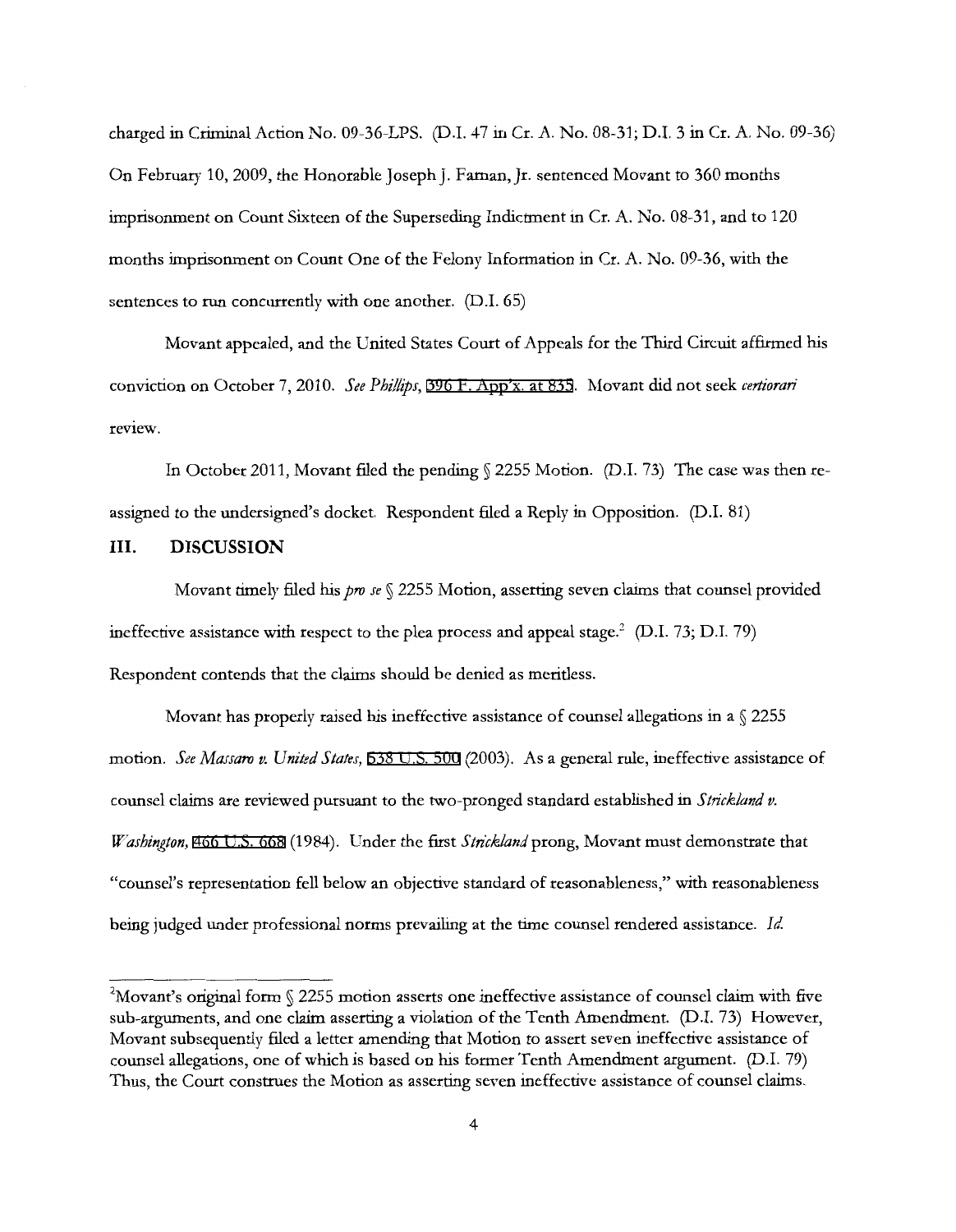charged in Criminal Action No. 09-36-LPS. (D.I. 47 in Cr. A. No. 08-31; D.I. 3 in Cr. A. No. 09-36) On February 10, 2009, the Honorable Joseph J. Farnan, Jr. sentenced Movant to 360 months imprisonment on Count Sixteen of the Superseding Indictment in Cr. A. No. 08-31, and to 120 months imprisonment on Count One of the Felony Information in Cr. A. No. 09-36, with the sentences to run concurrently with one another. (D.l. 65)

Movant appealed, and the United States Court of Appeals for the Third Circuit affirmed his conviction on October 7, 2010. *See Phillips,* [396 F. App'x. at 835](http://scholar.google.com/scholar?q=396+f.+app). Movant did not seek *certiorari*  review.

In October 2011, Movant filed the pending § 2255 Motion. (D.I. 73) The case was then reassigned to the undersigned's docket. Respondent filed a Reply in Opposition. (D.I. 81)

#### **III. DISCUSSION**

Movant timely filed his *pro se* § 2255 Motion, asserting seven claims that counsel provided ineffective assistance with respect to the plea process and appeal stage.<sup>2</sup> (D.I. 73; D.I. 79) Respondent contends that the claims should be denied as meritless.

Movant has properly raised his ineffective assistance of counsel allegations in a  $\sqrt{2255}$ motion. *See Massaro v. United States,* [538 U.S. 500](http://scholar.google.com/scholar?q=538+u.s.+500&btnG=&hl=en&as_sdt=6) (2003). As a general rule, ineffective assistance of counsel claims are reviewed pursuant to the two-pronged standard established in *Strick/and v. Washington,* [466 U.S. 668](http://scholar.google.com/scholar?q=466+u.s.+668&btnG=&hl=en&as_sdt=6) (1984). Under the first *Strickland* prong, Movant must demonstrate that "counsel's representation fell below an objective standard of reasonableness," with reasonableness being judged under professional norms prevailing at the time counsel rendered assistance. *Id.* 

 $^{2}$ Movant's original form § 2255 motion asserts one ineffective assistance of counsel claim with five sub-arguments, and one claim asserting a violation of the Tenth Amendment. (D.l. 73) However, Movant subsequently filed a letter amending that Motion to assert seven ineffective assistance of counsel allegations, one of which is based on his former Tenth Amendment argument. (D.l. 79) Thus, the Court construes the Motion as asserting seven ineffective assistance of counsel claims.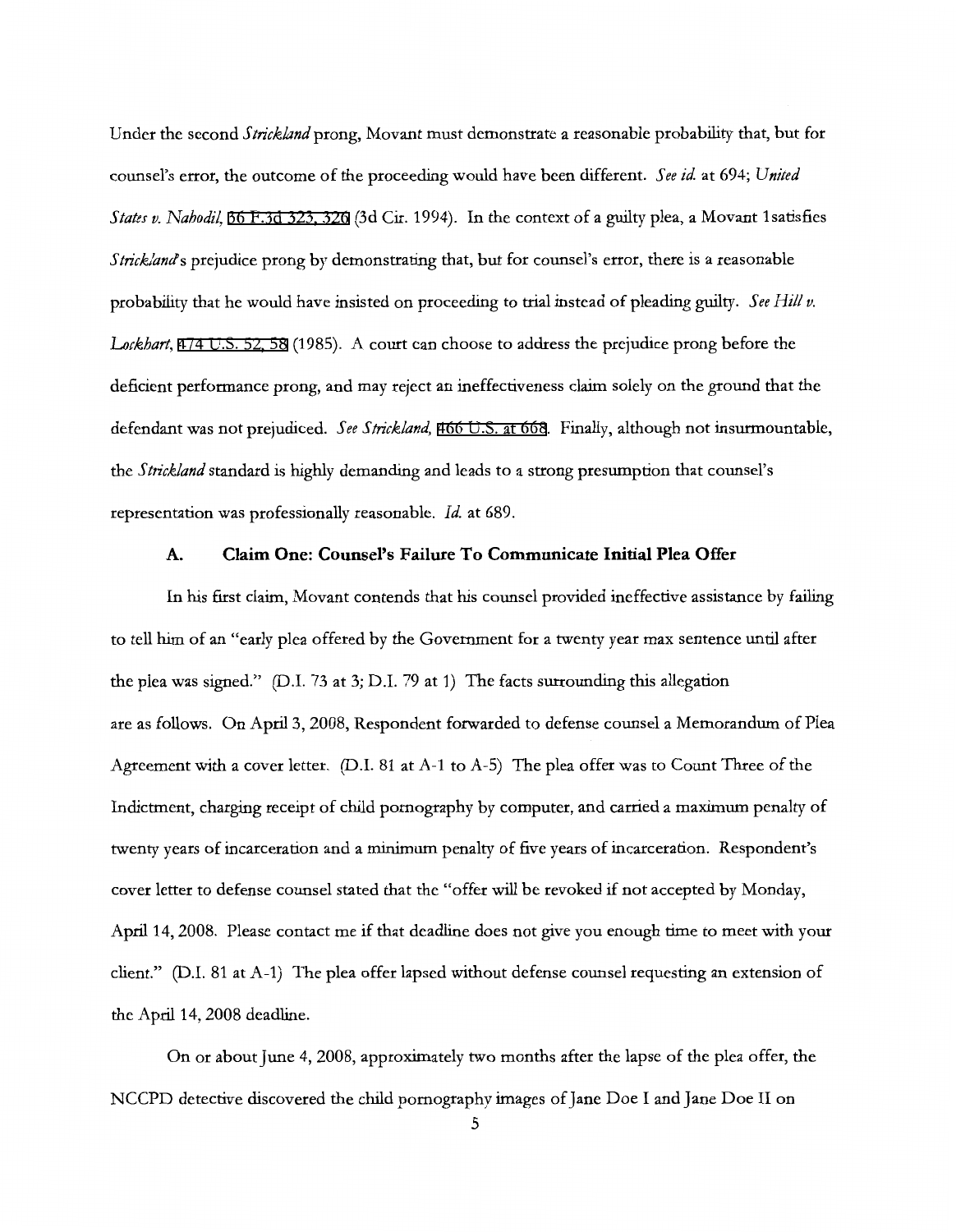Under the second *Strickland* prong, Movant must demonstrate a reasonable probability that, but for counsel's error, the outcome of the proceeding would have been different. *See id.* at 694; *United States v. Nahodil,* [36 F.3d 323, 326](http://scholar.google.com/scholar?q=36+f.3d+323&btnG=&hl=en&as_sdt=6) (3d Cir. 1994). In the context of a guilty plea, a Movant lsatisfies *Strick/ands* prejudice prong by demonstrating that, but for counsel's error, there is a reasonable probability that he would have insisted on proceeding to trial instead of pleading guilty. *See Hill v. Lockhart,* [474 U.S. 52, 58](http://scholar.google.com/scholar?q=474+u.s.+52&btnG=&hl=en&as_sdt=6) (1985). A court can choose to address the prejudice prong before the deficient performance prong, and may reject an ineffectiveness claim solely on the ground that the defendant was not prejudiced. *See Strickland,* [466 U.S. at 668.](http://scholar.google.com/scholar?q=466+u.s.+668&btnG=&hl=en&as_sdt=6) Finally, although not insurmountable, the *Strickland* standard is highly demanding and leads to a strong presumption that counsel's representation was professionally reasonable. Id. at 689.

# **A. Claim One: Counsel's Failure To Communicate Initial Plea Offer**

In his first claim, Movant contends that his counsel provided ineffective assistance by failing to tell him of an "early plea offered by the Government for a twenty year max sentence until after the plea was signed." (D.I. 73 at 3; D.I. 79 at 1) The facts surrounding this allegation are as follows. On April 3, 2008, Respondent forwarded to defense counsel a Memorandum of Plea Agreement with a cover letter. (D.I. 81 at A-1 to A-5) The plea offer was to Count Three of the Indictment, charging receipt of child pornography by computer, and carried a maximum penalty of twenty years of incarceration and a minimum penalty of five years of incarceration. Respondent's cover letter to defense counsel stated that the "offer will be revoked if not accepted by Monday, April 14, 2008. Please contact me if that deadline does not give you enough time to meet with your client." (D.I. 81 at A-1) The plea offer lapsed without defense counsel requesting an extension of the April 14, 2008 deadline.

On or about June 4, 2008, approximately two months after the lapse of the plea offer, the NCCPD detective discovered the child pornography images of Jane Doe I and Jane Doe II on

5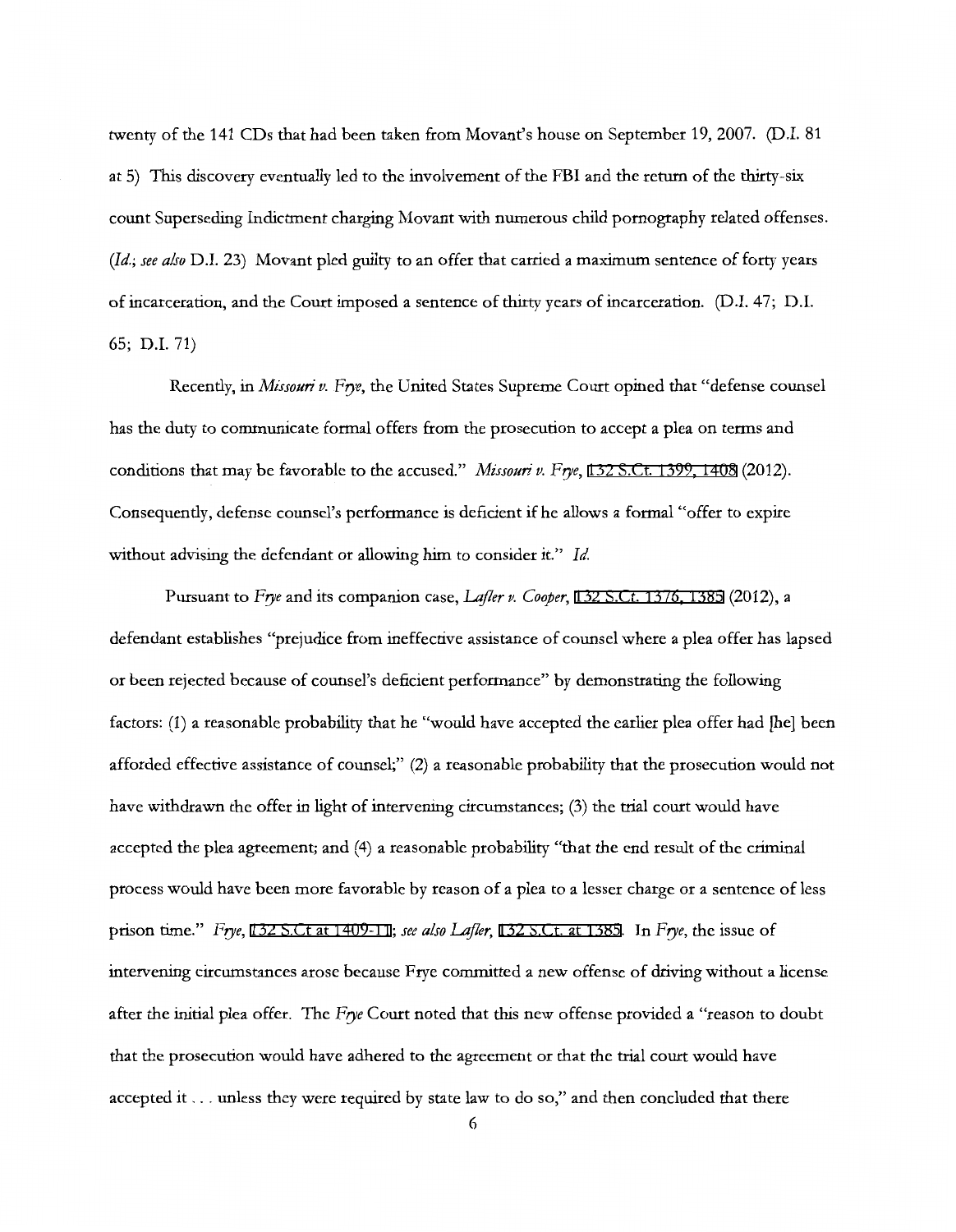twenty of the 141 CDs that had been taken from Movant's house on September 19, 2007. (D.I. 81 at 5) This discovery eventually led to the involvement of the FBI and the return of the thirty-six count Superseding Indictment charging Movant with numerous child pornography related offenses. *(Id.; see also* D.I. 23) Movant pled guilty to an offer that carried a maximum sentence of forty years of incarceration, and the Court imposed a sentence of thirty years of incarceration. (D.I. 47; D.I. 65; D.I. 71)

Recently, in *Missouri v. Frye,* the United States Supreme Court opined that "defense counsel has the duty to communicate formal offers from the prosecution to accept a plea on terms and conditions that may be favorable to the accused." *Missouri v. Frye,* [132 S.Ct. 1399, 1408](http://scholar.google.com/scholar?q=132+s.ct.+1399&btnG=&hl=en&as_sdt=6) (2012). Consequently, defense counsel's performance is deficient if he allows a formal "offer to expire without advising the defendant or allowing him to consider it." *Id.* 

Pursuant to *Frye* and its companion case, *Lefler v. Cooper,* [132 S.Ct. 1376, 1385](http://scholar.google.com/scholar?q=132+s.ct.+1376&btnG=&hl=en&as_sdt=6) (2012), a defendant establishes "prejudice from ineffective assistance of counsel where a plea offer has lapsed or been rejected because of counsel's deficient performance" by demonstrating the following factors: (1) a reasonable probability that he "would have accepted the earlier plea offer had [he] been afforded effective assistance of counsel;" (2) a reasonable probability that the prosecution would not have withdrawn the offer in light of intervening circumstances; (3) the trial court would have accepted the plea agreement; and (4) a reasonable probability "that the end result of the criminal process would have been more favorable by reason of a plea to a lesser charge or a sentence of less prison time." *Frye,* [132 S.Ct at 1409-11](http://scholar.google.com/scholar?q=132+s.ct+1409&btnG=&hl=en&as_sdt=6); *see also Lafler,* [132 S.Ct. at 1385.](http://scholar.google.com/scholar?q=132+s.ct.+1376&btnG=&hl=en&as_sdt=6) In *Frye,* the issue of intervening circumstances arose because Frye committed a new offense of driving without a license after the initial plea offer. The *Frye* Court noted that this new offense provided a "reason to doubt that the prosecution would have adhered to the agreement or that the trial court would have accepted it ... unless they were required by state law to do so," and then concluded that there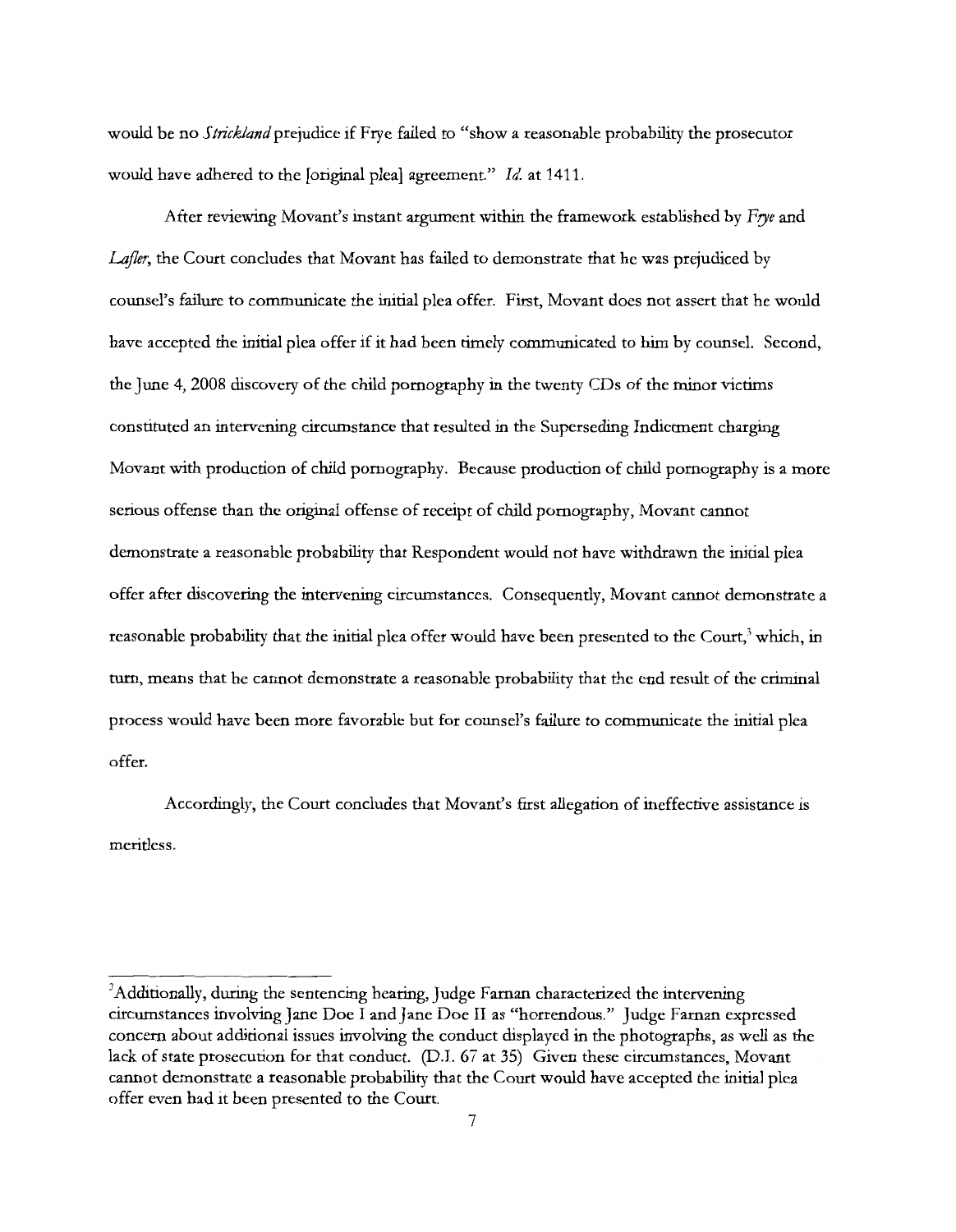would be no *Strickland* prejudice if Frye failed to "show a reasonable probability the prosecutor would have adhered to the [original plea] agreement." *Id.* at 1411.

After reviewing Movant's instant argument within the framework established by *Frye* and *Lafler,* the Court concludes that Movant has failed to demonstrate that he was prejudiced by counsel's failure to communicate the initial plea offer. First, Movant does not assert that he would have accepted the initial plea offer if it had been timely communicated to him by counsel. Second, the June 4, 2008 discovery of the child pornography in the twenty CDs of the minor victims constituted an intervening circumstance that resulted in the Superseding Indictment charging Movant with production of child pornography. Because production of child pornography is a more serious offense than the original offense of receipt of child pornography, Movant cannot demonstrate a reasonable probability that Respondent would not have withdrawn the initial plea offer after discovering the intervening circumstances. Consequently, Movant cannot demonstrate a reasonable probability that the initial plea offer would have been presented to the Court,<sup>3</sup> which, in tum, means that he cannot demonstrate a reasonable probability that the end result of the criminal process would have been more favorable but for counsel's failure to communicate the initial plea offer.

Accordingly, the Court concludes that Movant's first allegation of ineffective assistance is meritless.

<sup>&</sup>lt;sup>3</sup>Additionally, during the sentencing hearing, Judge Farnan characterized the intervening circumstances involving Jane Doe I and Jane Doe II as "horrendous." Judge Farnan expressed concern about additional issues involving the conduct displayed in the photographs, as well as the lack of state prosecution for that conduct. (D.I. 67 at 35) Given these circumstances, Movant cannot demonstrate a reasonable probability that the Court would have accepted the initial plea offer even had it been presented to the Court.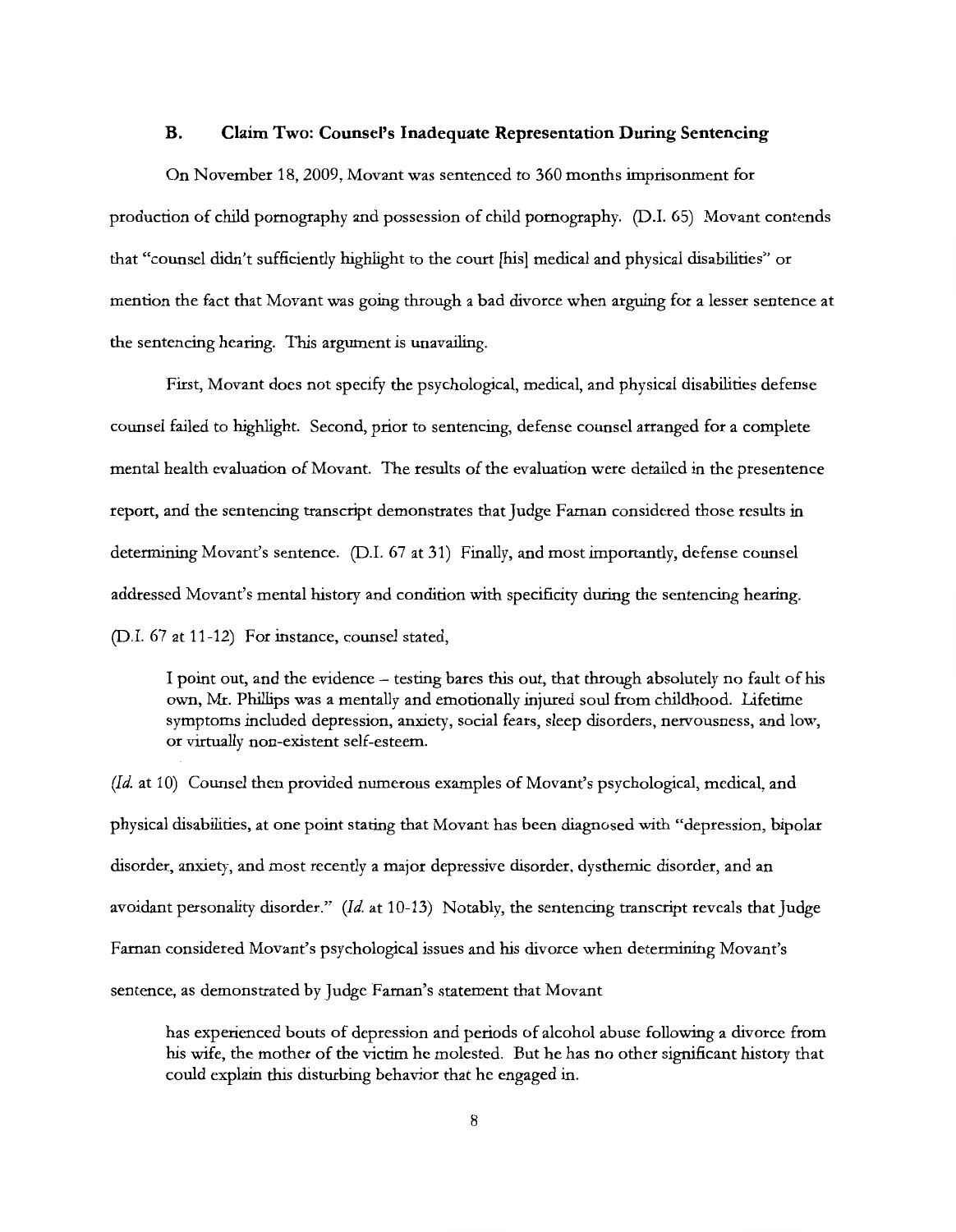#### **B. Claim Two: Counsel's Inadequate Representation During Sentencing**

On November 18, 2009, Movant was sentenced to 360 months imprisonment for production of child pornography and possession of child pornography. (D.I. 65) Movant contends that "counsel didn't sufficiently highlight to the court [his] medical and physical disabilities" or mention the fact that Movant was going through a bad divorce when arguing for a lesser sentence at the sentencing hearing. This argument is unavailing.

First, Movant does not specify the psychological, medical, and physical disabilities defense counsel failed to highlight. Second, prior to sentencing, defense counsel arranged for a complete mental health evaluation of Movant. The results of the evaluation were detailed in the presentence report, and the sentencing transcript demonstrates that Judge Farnan considered those results in determining Movant's sentence. (D.I. 67 at 31) Finally, and most importantly, defense counsel addressed Movant's mental history and condition with specificity during the sentencing hearing. (D.I. 67 at 11-12) For instance, counsel stated,

I point out, and the evidence - testing bares this out, that through absolutely no fault of his own, Mr. Phillips was a mentally and emotionally injured soul from childhood. Lifetime symptoms included depression, anxiety, social fears, sleep disorders, nervousness, and low, or virtually non-existent self-esteem.

*(Id.* at 10) Counsel then provided numerous examples of Movant's psychological, medical, and physical disabilities, at one point stating that Movant has been diagnosed with "depression, bipolar disorder, anxiety, and most recently a major depressive disorder, dysthemic disorder, and an avoidant personality disorder." *(Id.* at 10-13) Notably, the sentencing transcript reveals that Judge Farnan considered Movant's psychological issues and his divorce when determining Movant's sentence, as demonstrated by Judge Faman's statement that Movant

has experienced bouts of depression and periods of alcohol abuse following a divorce from his wife, the mother of the victim he molested. But he has no other significant history that could explain this disturbing behavior that he engaged in.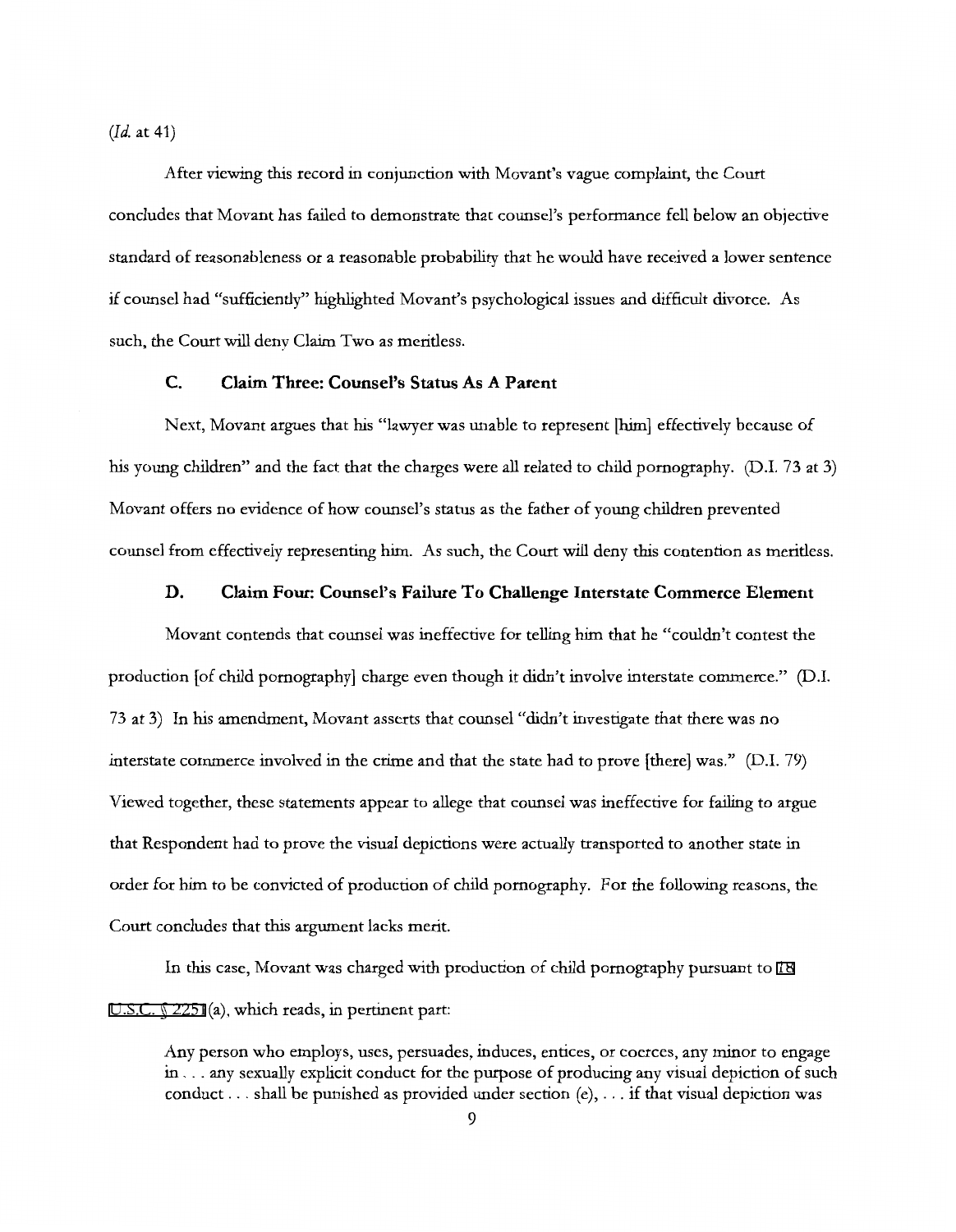*(Id.* at 41)

After viewing this record in conjunction with Movant's vague complaint, the Court concludes that Movant has failed to demonstrate that counsel's performance fell below an objective standard of reasonableness or a reasonable probability that he would have received a lower sentence if counsel had "sufficiently" highlighted Movant's psychological issues and difficult divorce. As such, the Court will deny Claim Two as meritless.

# **C. Claim Three: Counsel's Status As A Parent**

Next, Movant argues that his "lawyer was unable to represent [him] effectively because of his young children" and the fact that the charges were all related to child pornography. (D.I. 73 at 3) Movant offers no evidence of how counsel's status as the father of young children prevented counsel from effectively representing him. As such, the Court will deny this contention as meritless.

#### **D. Claim Four: Counsel's Failure To Challenge Interstate Commerce Element**

Movant contends that counsel was ineffective for telling him that he "couldn't contest the production [of child pornography] charge even though it didn't involve interstate commerce." (D.I. 73 at 3) In his amendment, Movant asserts that counsel "didn't investigate that there was no interstate commerce involved in the crime and that the state had to prove [there] was." (D.I. 79) Viewed together, these statements appear to allege that counsel was ineffective for failing to argue that Respondent had to prove the visual depictions were actually transported to another state in order for him to be convicted of production of child pornography. For the following reasons, the Court concludes that this argument lacks merit.

In this case, Movant was charged with production of child pornography pursuant to [18](http://www.google.com/search?q=18++u.s.c.++2251) [U.S.C. § 2251](http://www.google.com/search?q=18++u.s.c.++2251)(a), which reads, in pertinent part:

Any person who employs, uses, persuades, induces, entices, or coerces, any minor to engage in ... any sexually explicit conduct for the purpose of producing any visual depiction of such conduct ... shall be punished as provided under section (e), ... if that visual depiction was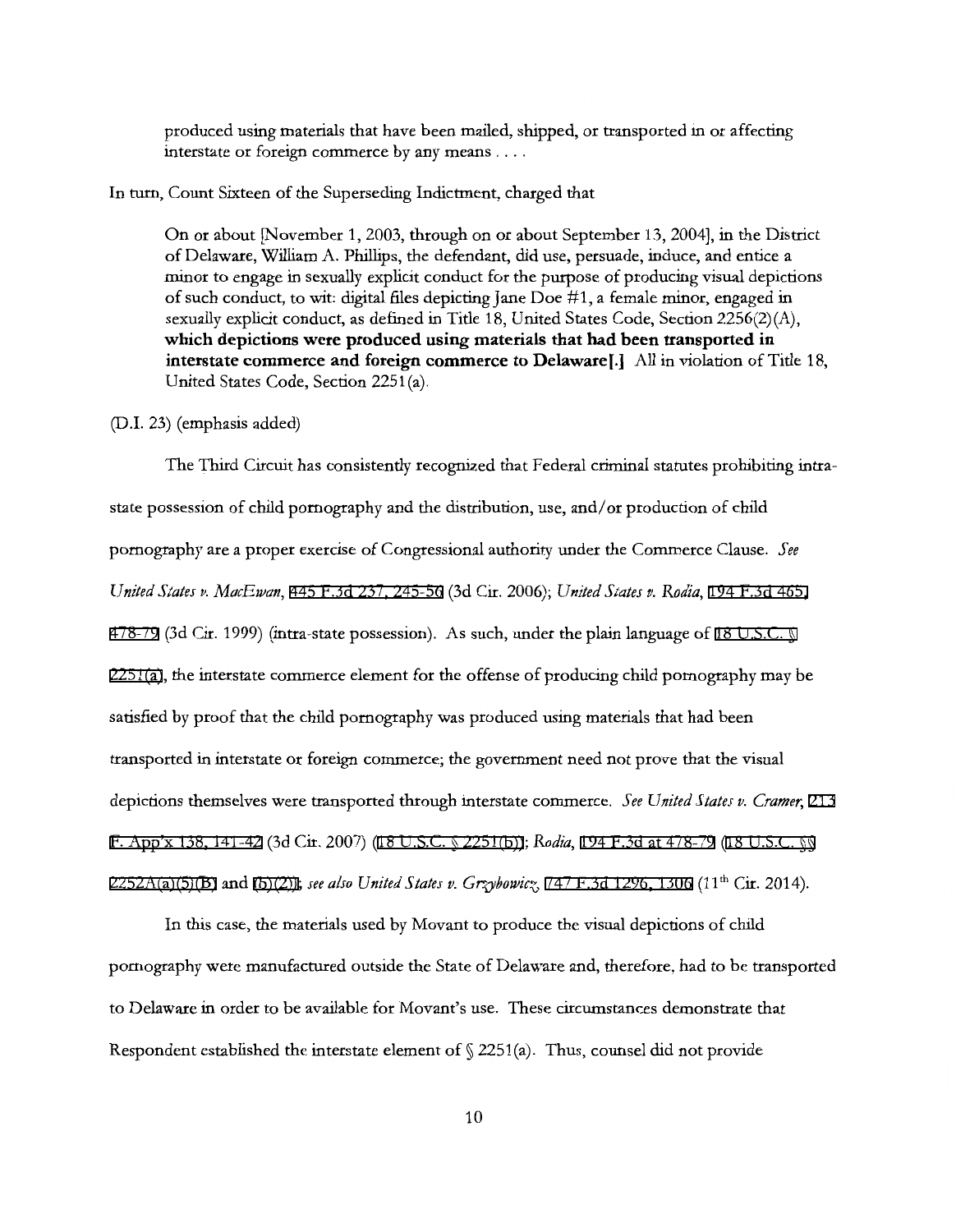produced using materials that have been mailed, shipped, or transported in or affecting interstate or foreign commerce by any means ....

#### In turn, Count Sixteen of the Superseding Indictment, charged that

On or about [November 1, 2003, through on or about September 13, 2004], in the District of Delaware, William A. Phillips, the defendant, did use, persuade, induce, and entice a minor to engage in sexually explicit conduct for the purpose of producing visual depictions of such conduct, to wit: digital files depicting Jane Doe #1, a female minor, engaged in sexually explicit conduct, as defined in Title 18, United States Code, Section 2256(2)(A), **which depictions were produced using materials that had been transported in interstate commerce and foreign commerce to Delaware[.]** All in violation of Title 18, United States Code, Section 2251(a).

#### (D.I. 23) (emphasis added)

The Third Circuit has consistently recognized that Federal criminal statutes prohibiting intrastate possession of child pornography and the distribution, use, and/ or production of child pornography are a proper exercise of Congressional authority under the Commerce Clause. *See United States v. MacEwan,* [445 F.3d 237, 245-56](http://scholar.google.com/scholar?q=445+f.3d+237&btnG=&hl=en&as_sdt=6) (3d Cir. 2006); *United States v. Rodia,* [194 F.3d 465,](http://scholar.google.com/scholar?q=194+f.3d+465&btnG=&hl=en&as_sdt=6)  [478-79](http://scholar.google.com/scholar?q=194+f.3d+465&btnG=&hl=en&as_sdt=6) (3d Cir. 1999) (intra-state possession). As such, under the plain language of [18 U.S.C. §](http://www.google.com/search?q=18+u.s.c.+++2251(a)) [2251\(a\)](http://www.google.com/search?q=18+u.s.c.+++2251(a)), the interstate commerce element for the offense of producing child pornography may be satisfied by proof that the child pornography was produced using materials that had been transported in interstate or foreign commerce; the government need not prove that the visual depictions themselves were transported through interstate commerce. *See United S fates v. Cramer,* [213](http://scholar.google.com/scholar?q=213++f.+app)  [F. App'x 138, 141-42](http://scholar.google.com/scholar?q=213++f.+app) (3d Cir. 2007) [\(18 U.S.C. § 2251\(b\)\)](http://www.google.com/search?q=18+u.s.c.++2251(b))); *Rodia,* [194 F.3d at 478-79](http://scholar.google.com/scholar?q=194+f.3d+465&btnG=&hl=en&as_sdt=6) [\(18 U.S.C. §§](http://www.google.com/search?q=18+u.s.c.+++2252a(a)(5)(b))  [2252A\(a\)\(5\)\(B\)](http://www.google.com/search?q=18+u.s.c.+++2252a(a)(5)(b)) and [\(b\)\(2\)\)](http://www.google.com/search?q=18+u.s.c.+2252a(b)(2))); *see also United States v. Grzybowicz*, [747 F.3d 1296, 1306](http://scholar.google.com/scholar?q=747+f.3d+1296&btnG=&hl=en&as_sdt=6) (11<sup>th</sup> Cir. 2014).

In this case, the materials used by Movant to produce the visual depictions of child pornography were manufactured outside the State of Delaware and, therefore, had to be transported to Delaware in order to be available for Movant's use. These circumstances demonstrate that Respondent established the interstate element of  $\S$  2251(a). Thus, counsel did not provide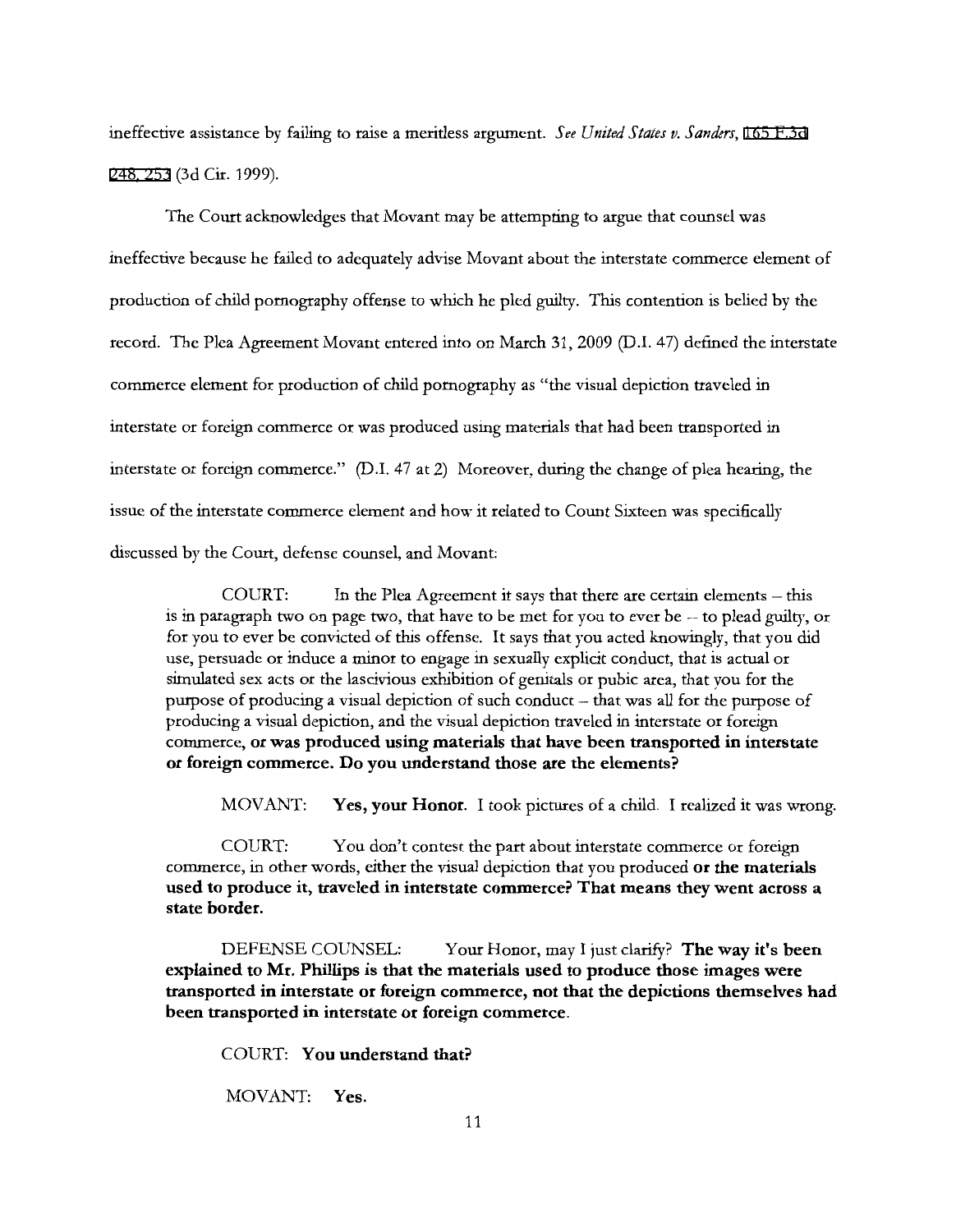ineffective assistance by failing to raise a meritless argument. *See United States v. Sanders,* [165 F.3d](http://scholar.google.com/scholar?q=165+f.3d248&btnG=&hl=en&as_sdt=6) [248, 253](http://scholar.google.com/scholar?q=165+f.3d248&btnG=&hl=en&as_sdt=6) (3d Cir. 1999).

The Court acknowledges that Movant may be attempting to argue that counsel was ineffective because he failed to adequately advise Movant about the interstate commerce element of production of child pornography offense to which he pled guilty. This contention is belied by the record. The Plea Agreement Movant entered into on March 31, 2009 (D.l. 47) defined the interstate commerce element for production of child pornography as "the visual depiction traveled in interstate or foreign commerce or was produced using materials that had been transported in interstate or foreign commerce." (D.I. 47 at 2) Moreover, during the change of plea hearing, the issue of the interstate commerce element and how it related to Count Sixteen was specifically discussed by the Court, defense counsel, and Movant:

COURT: In the Plea Agreement it says that there are certain elements - this is in paragraph two on page two, that have to be met for you to ever be -- to plead guilty, or for you to ever be convicted of this offense. It says that you acted knowingly, that you did use, persuade or induce a minor to engage in sexually explicit conduct, that is actual or simulated sex acts or the lascivious exhibition of genitals or pubic area, that you for the purpose of producing a visual depiction of such conduct - that was all for the purpose of producing a visual depiction, and the visual depiction traveled in interstate or foreign commerce, **or was produced using materials that have been transported in interstate or foreign commerce. Do you understand those are the elements?** 

MOV ANT: **Yes, your Honor.** I took pictures of a child. I realized it was wrong.

COURT: You don't contest the part about interstate commerce or foreign commerce, in other words, either the visual depiction that you produced **or the materials used to produce it, traveled in interstate commerce? That means they went across a state border.** 

DEFENSE COUNSEL: Your Honor, may I just clarify? **The way it's been explained to Mr. Phillips is that the materials used to produce those images were transported in interstate or foreign commerce, not that the depictions themselves had been transported in interstate or foreign commerce.** 

COURT: **You understand that?** 

MOV ANT: **Yes.**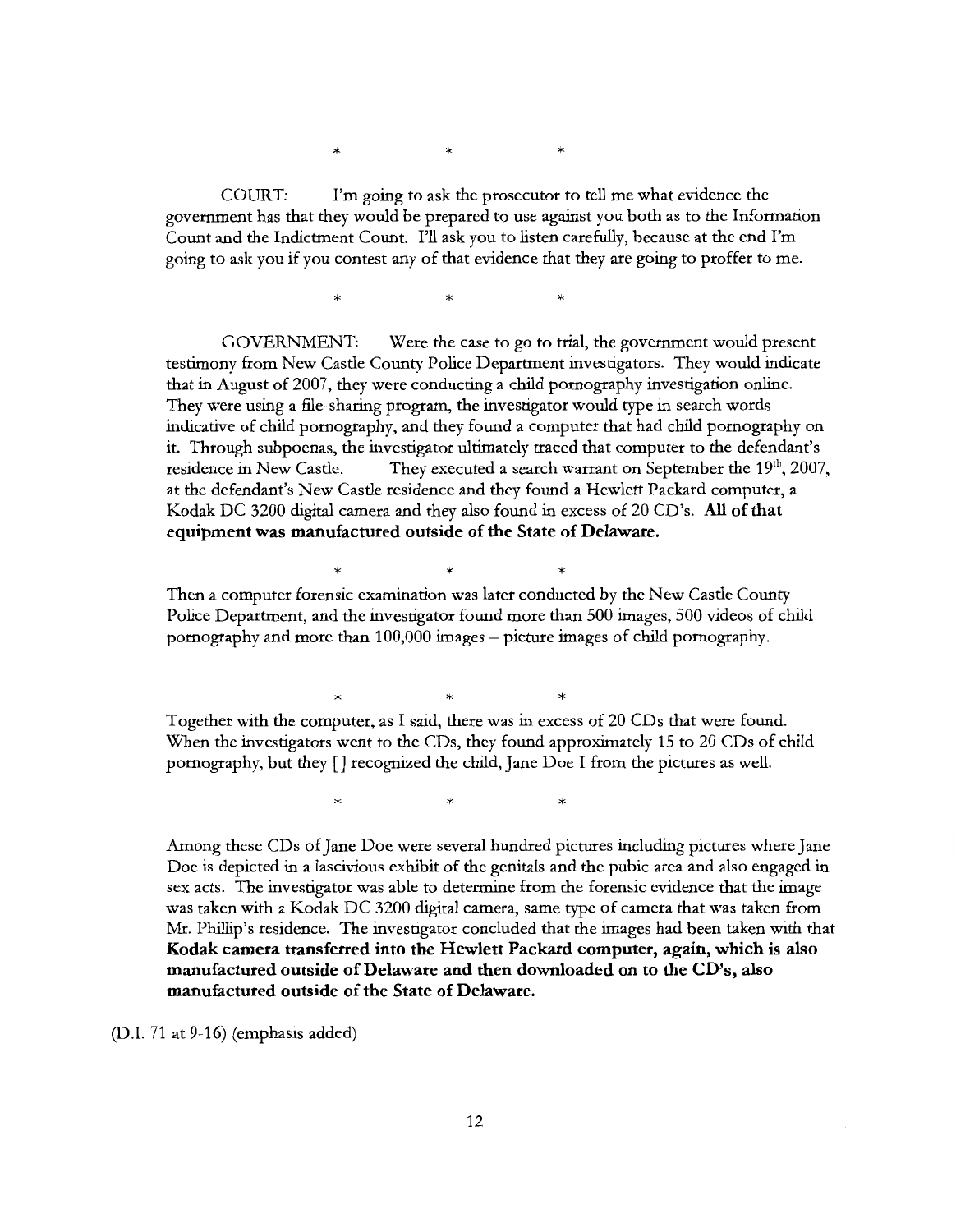$\star$   $\star$   $\star$ 

COURT: I'm going to ask the prosecutor to tell me what evidence the government has that they would be prepared to use against you both as to the Information Count and the Indictment Count. I'll ask you to listen carefully, because at the end I'm going to ask you if you contest any of that evidence that they are going to proffer to me.

 $\ast$   $\ast$   $\ast$ 

GOVERNMENT: Were the case to go to trial, the government would present testimony from New Castle County Police Department investigators. They would indicate that in August of 2007, they were conducting a child pornography investigation online. They were using a file-sharing program, the investigator would type in search words indicative of child pornography, and they found a computer that had child pornography on it. Through subpoenas, the investigator ultimately traced that computer to the defendant's residence in New Castle. They executed a search warrant on September the  $19<sup>th</sup>$ , 2007, at the defendant's New Castle residence and they found a Hewlett Packard computer, a Kodak DC 3200 digital camera and they also found in excess of 20 CD's. **All of that equipment was manufactured outside of the State of Delaware.** 

\* \* \* Then a computer forensic examination was later conducted by the New Castle County Police Department, and the investigator found more than 500 images, 500 videos of child pornography and more than 100,000 images -picture images of child pornography.

 $\begin{matrix} * & * & * \end{matrix}$ Together with the computer, as I said, there was in excess of 20 CDs that were found. When the investigators went to the CDs, they found approximately 15 to 20 CDs of child pornography, but they [] recognized the child, Jane Doe I from the pictures as well.

 $\ast$   $\ast$   $\ast$ 

Among these CDs of Jane Doe were several hundred pictures including pictures where Jane Doe is depicted in a lascivious exhibit of the genitals and the pubic area and also engaged in sex acts. The investigator was able to determine from the forensic evidence that the image was taken with a Kodak DC 3200 digital camera, same type of camera that was taken from Mr. Phillip's residence. The investigator concluded that the images had been taken with that **Kodak camera transferred into the Hewlett Packard computer, again, which is also manufactured outside of Delaware and then downloaded on to the CD's, also manufactured outside of the State of Delaware.** 

(D.I. 71 at  $9-16$ ) (emphasis added)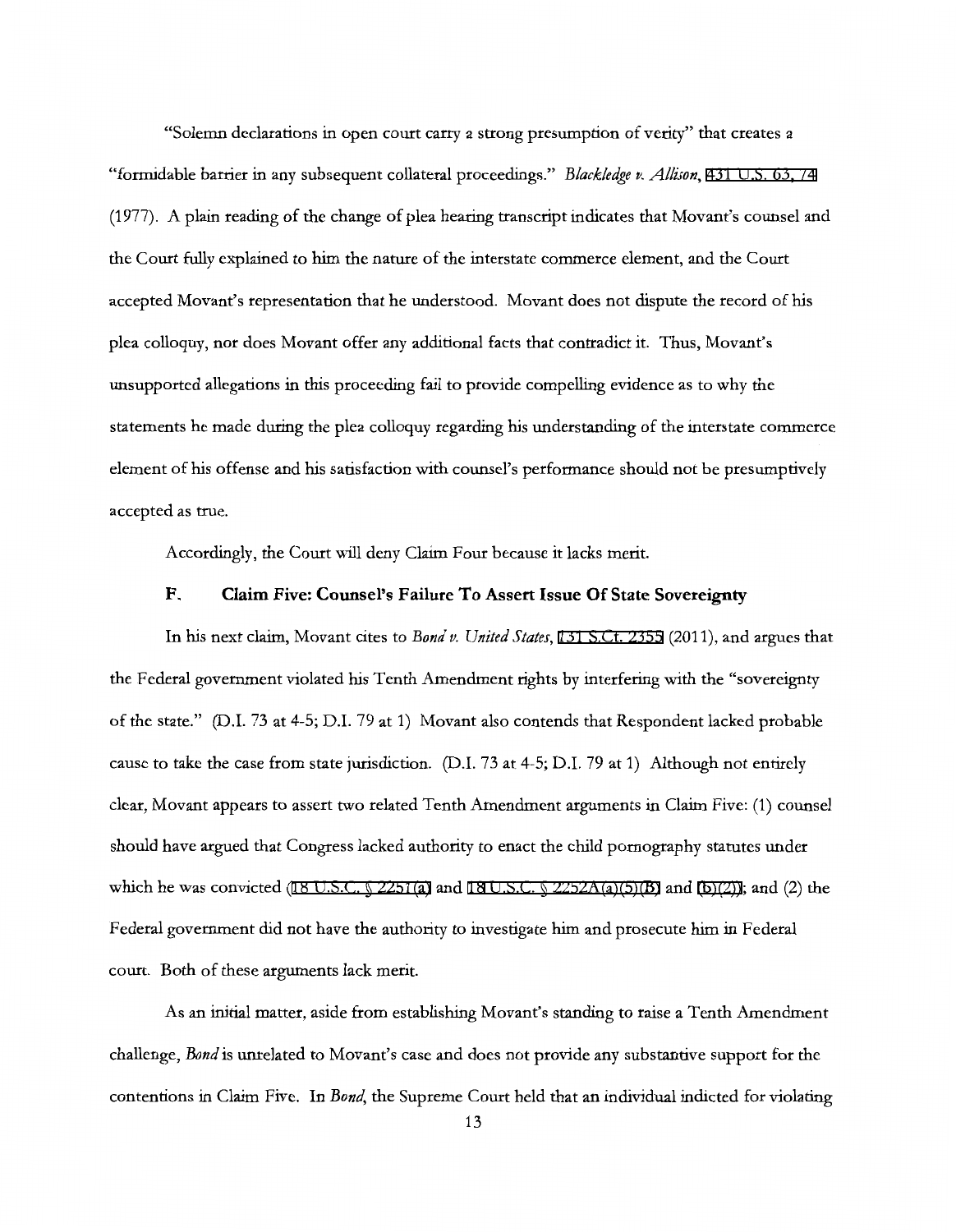"Solemn declarations in open court carry a strong presumption of verity" that creates a "formidable barrier in any subsequent collateral proceedings." *Blackledge v. Allison,* [431 U.S. 63, 7 4](http://scholar.google.com/scholar?q=431+u.s.+63&btnG=&hl=en&as_sdt=6)  (1977). A plain reading of the change of plea hearing transcript indicates that Movant's counsel and the Court fully explained to him the nature of the interstate commerce element, and the Court accepted Movant's representation that he understood. Movant does not dispute the record of his plea colloquy, nor does Movant offer any additional facts that contradict it. Thus, Movant's unsupported allegations in this proceeding fail to provide compelling evidence as to why the statements he made during the plea colloquy regarding his understanding of the interstate commerce element of his offense and his satisfaction with counsel's performance should not be presumptively accepted as true.

Accordingly, the Court will deny Claim Four because it lacks merit.

# **F. Claim Five: Counsel's Failure To Assert Issue Of State Sovereignty**

In his next claim, Movant cites to *Bond v. United States,* [131 S.Ct. 2355](http://scholar.google.com/scholar?q=131+s.ct.+2355&btnG=&hl=en&as_sdt=6) (2011), and argues that the Federal government violated his Tenth Amendment rights by interfering with the "sovereignty of the state." (D.I. 73 at 4-5; D.I. 79 at 1) Movant also contends that Respondent lacked probable cause to take the case from state jurisdiction. (D.I. 73 at 4-5; D.I. 79 at 1) Although not entirely clear, Movant appears to assert two related Tenth Amendment arguments in Claim Five: (1) counsel should have argued that Congress lacked authority to enact the child pornography statutes under which he was convicted ([1](http://www.google.com/search?q=18+u.s.c.+18)8 U.S.C.  $\sqrt{2251(a)}$  and 18 U.S.C.  $\sqrt{2252A(a)(5)}$  and  $(b)(2)$ ); and (2) the Federal government did not have the authority to investigate him and prosecute him in Federal court. Both of these arguments lack merit.

As an initial matter, aside from establishing Movant's standing to raise a Tenth Amendment challenge, *Bond* is unrelated to Movant's case and does not provide any substantive support for the contentions in Claim Five. In *Bond,* the Supreme Court held that an individual indicted for violating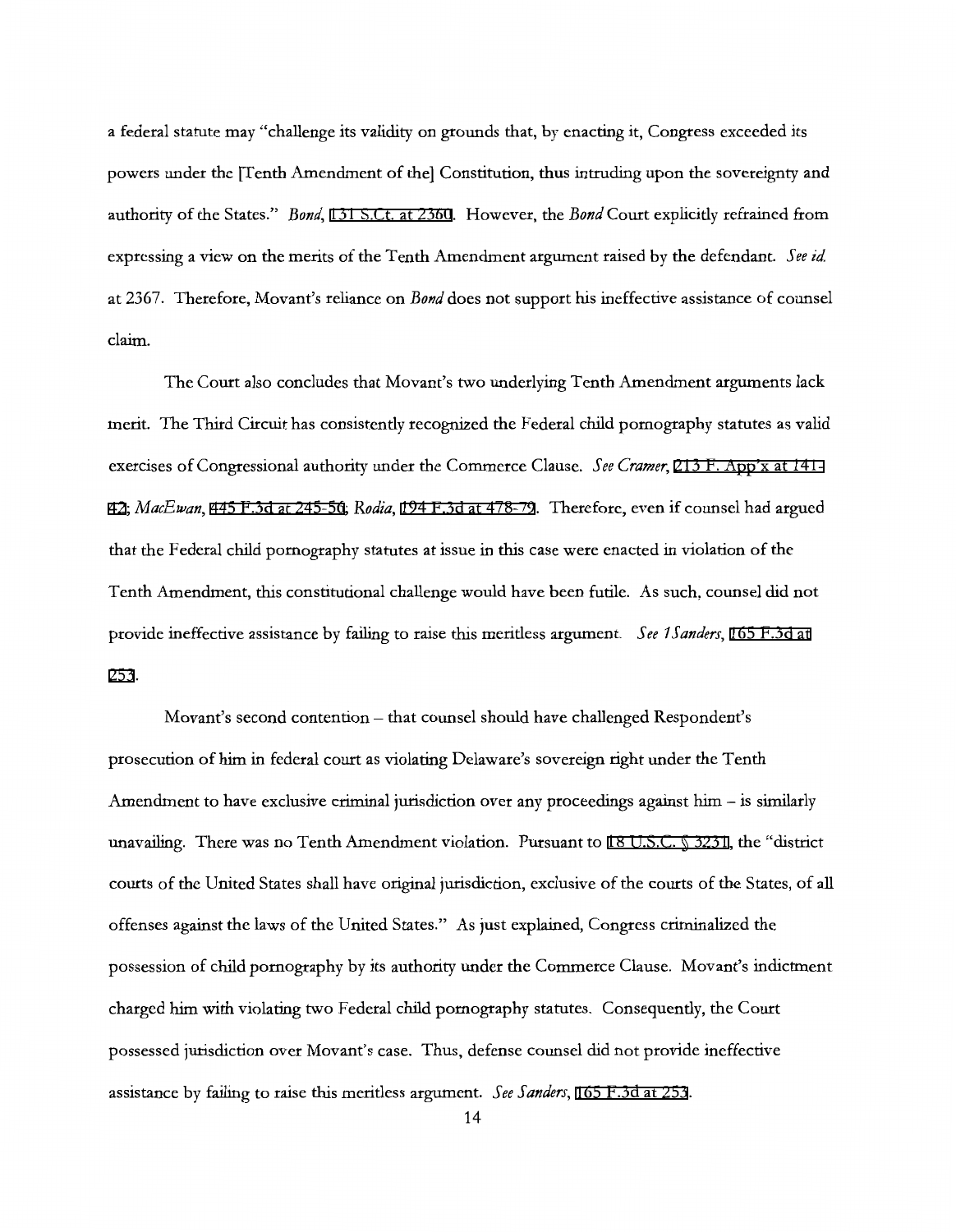a federal statute may "challenge its validity on grounds that, by enacting it, Congress exceeded its powers under the [Tenth Amendment of the] Constitution, thus intruding upon the sovereignty and authority of the States." *Bond,* [131 S.Ct. at 2360](http://scholar.google.com/scholar?q=131+s.ct.+2355&btnG=&hl=en&as_sdt=6). However, the *Bond* Court explicitly refrained from expressing a view on the merits of the Tenth Amendment argument raised by the defendant. *See id*  at 2367. Therefore, Movant's reliance on *Bond* does not support his ineffective assistance of counsel claim.

The Court also concludes that Movant's two underlying Tenth Amendment arguments lack merit. The Third Circuit has consistently recognized the Federal child pornography statutes as valid exercises of Congressional authority under the Commerce Clause. *See Cramer,* [213 F. App'x at 141-](http://scholar.google.com/scholar?q=213+f.+app) [42;](http://scholar.google.com/scholar?q=213+f.+app) *MacEwan,* [445 F.3d at 245-56](http://scholar.google.com/scholar?q=445+f.3d+237&btnG=&hl=en&as_sdt=6); *Rodia,* [194 F.3d at 478-79.](http://scholar.google.com/scholar?q=194+f.3d+465&btnG=&hl=en&as_sdt=6) Therefore, even if counsel had argued that the Federal child pornography statutes at issue in this case were enacted in violation of the Tenth Amendment, this constitutional challenge would have been futile. As such, counsel did not provide ineffective assistance by failing to raise this meritless argument. *See 1Sanders,* [165 F.3d at](http://scholar.google.com/scholar?q=165+f.3d+248&btnG=&hl=en&as_sdt=6) [253](http://scholar.google.com/scholar?q=165+f.3d+248&btnG=&hl=en&as_sdt=6).

Movant's second contention - that counsel should have challenged Respondent's prosecution of him in federal court as violating Delaware's sovereign right under the Tenth Amendment to have exclusive criminal jurisdiction over any proceedings against him  $-$  is similarly unavailing. There was no Tenth Amendment violation. Pursuant to [18 U.S.C. § 3231](http://www.google.com/search?q=18+u.s.c.++3231), the "district courts of the United States shall have original jurisdiction, exclusive of the courts of the States, of all offenses against the laws of the United States." As just explained, Congress criminalized the possession of child pornography by its authority under the Commerce Clause. Movant's indictment charged him with violating two Federal child pornography statutes. Consequently, the Court possessed jurisdiction over Movant's case. Thus, defense counsel did not provide ineffective assistance by failing to raise this meritless argument. *See Sanders,* [165 F.3d at 253.](http://scholar.google.com/scholar?q=165+f.3d+248&btnG=&hl=en&as_sdt=6)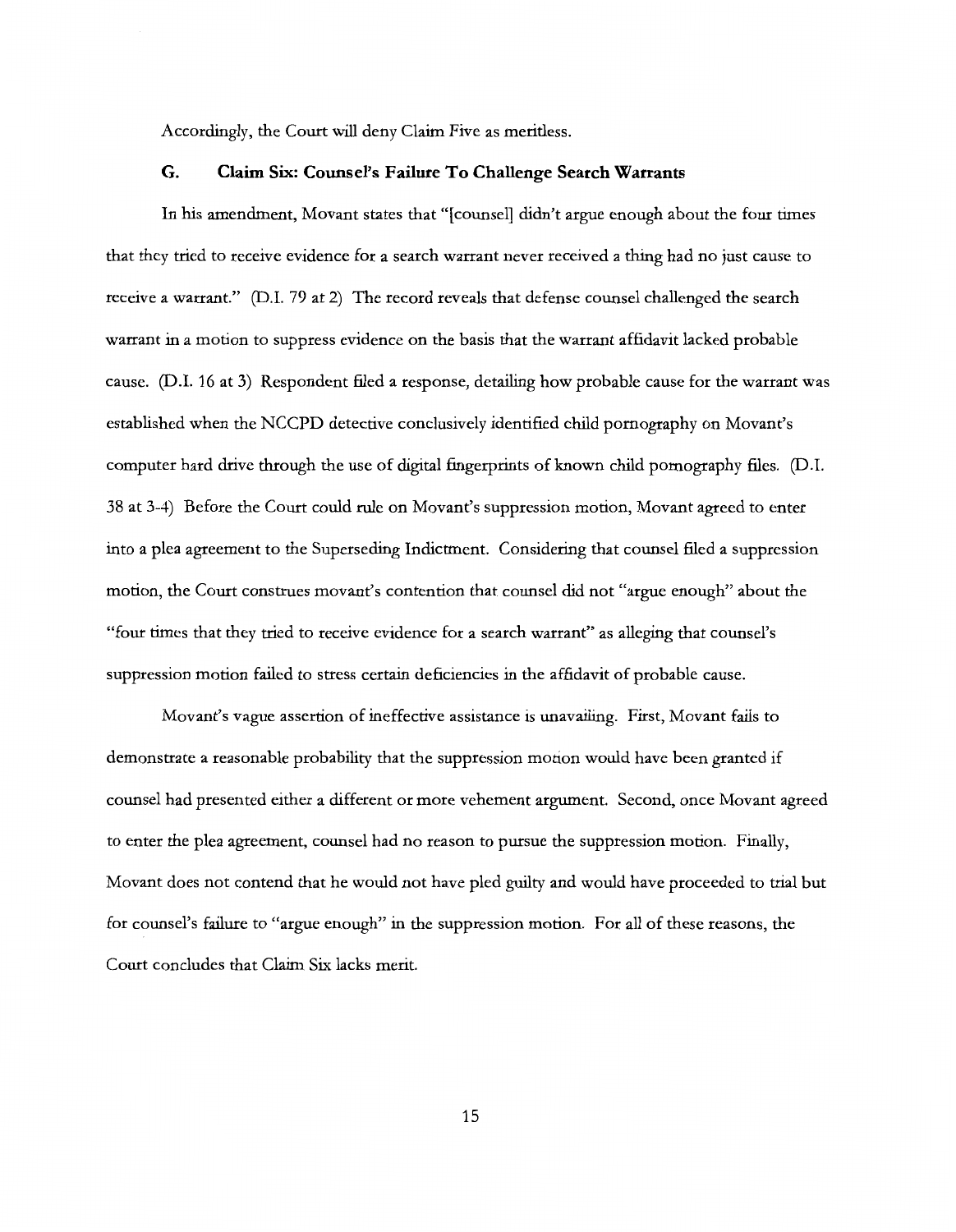Accordingly, the Court will deny Claim Five as meritless.

# **G. Claim Six: Counsel's Failure To Challenge Search Warrants**

In his amendment, Movant states that "[counsel] didn't argue enough about the four times that they tried to receive evidence for a search warrant never received a thing had no just cause to receive a warrant." (D.l. 79 at 2) The record reveals that defense counsel challenged the search warrant in a motion to suppress evidence on the basis that the warrant affidavit lacked probable cause. (D.I. 16 at 3) Respondent filed a response, detailing how probable cause for the warrant was established when the NCCPD detective conclusively identified child pornography on Movant's computer hard drive through the use of digital fingerprints of known child pornography files. (D.l. 38 at 3-4) Before the Court could rule on Movant's suppression motion, Movant agreed to enter into a plea agreement to the Superseding Indictment. Considering that counsel filed a suppression motion, the Court construes movant's contention that counsel did not "argue enough" about the "four times that they tried to receive evidence for a search warrant" as alleging that counsel's suppression motion failed to stress certain deficiencies in the affidavit of probable cause.

Movant's vague assertion of ineffective assistance is unavailing. First, Movant fails to demonstrate a reasonable probability that the suppression motion would have been granted if counsel had presented either a different or more vehement argument. Second, once Movant agreed to enter the plea agreement, counsel had no reason to pursue the suppression motion. Finally, Movant does not contend that he would not have pled guilty and would have proceeded to trial but for counsel's failure to "argue enough" in the suppression motion. For all of these reasons, the Court concludes that Claim Six lacks merit.

15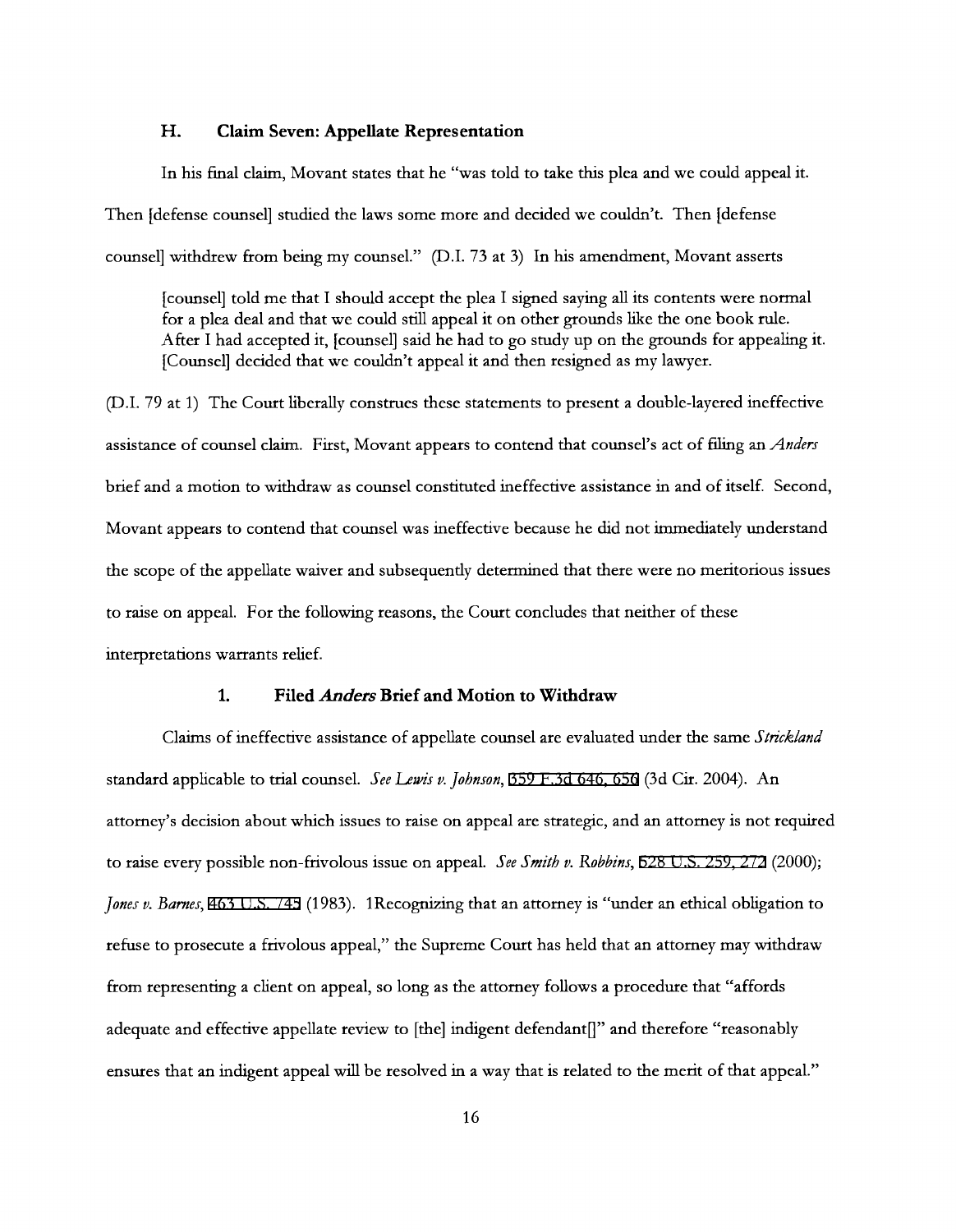#### **H. Claim Seven: Appellate Representation**

In his final claim, Movant states that he "was told to take this plea and we could appeal it. Then [defense counsel] studied the laws some more and decided we couldn't. Then [defense counsel] withdrew from being my counsel." (D.I. 73 at 3) In his amendment, Movant asserts

[counsel] told me that I should accept the plea I signed saying all its contents were normal for a plea deal and that we could still appeal it on other grounds like the one book rule. After I had accepted it, [counsel] said he had to go study up on the grounds for appealing it. [Counsel] decided that we couldn't appeal it and then resigned as my lawyer.

(D.I. 79 at 1) The Court liberally construes these statements to present a double-layered ineffective assistance of counsel claim. First, Movant appears to contend that counsel's act of filing an *Anders*  brief and a motion to withdraw as counsel constituted ineffective assistance in and of itself. Second, Movant appears to contend that counsel was ineffective because he did not immediately understand the scope of the appellate waiver and subsequently determined that there were no meritorious issues to raise on appeal. For the following reasons, the Court concludes that neither of these interpretations warrants relief.

#### **1. Filed** *Anders* **Brief and Motion to Withdraw**

Claims of ineffective assistance of appellate counsel are evaluated under the same *Strickland*  standard applicable to trial counsel. *See Lewis v. Johnson,* [359 F.3d 646, 656](http://scholar.google.com/scholar?q=359+f.3d+646&btnG=&hl=en&as_sdt=6) (3d Cir. 2004). An attorney's decision about which issues to raise on appeal are strategic, and an attorney is not required to raise every possible non-frivolous issue on appeal. *See Smith v. Robbins,* [528 U.S. 259, 272](http://scholar.google.com/scholar?q=528+u.s.+259&btnG=&hl=en&as_sdt=6) (2000); *Jones v. Barnes,* [463 U.S. 745](http://scholar.google.com/scholar?q=463+u.s.+745&btnG=&hl=en&as_sdt=6) (1983). 1Recognizing that an attorney is "under an ethical obligation to refuse to prosecute a frivolous appeal," the Supreme Court has held that an attorney may withdraw from representing a client on appeal, so long as the attorney follows a procedure that "affords adequate and effective appellate review to [the] indigent defendant[]" and therefore "reasonably ensures that an indigent appeal will be resolved in a way that is related to the merit of that appeal."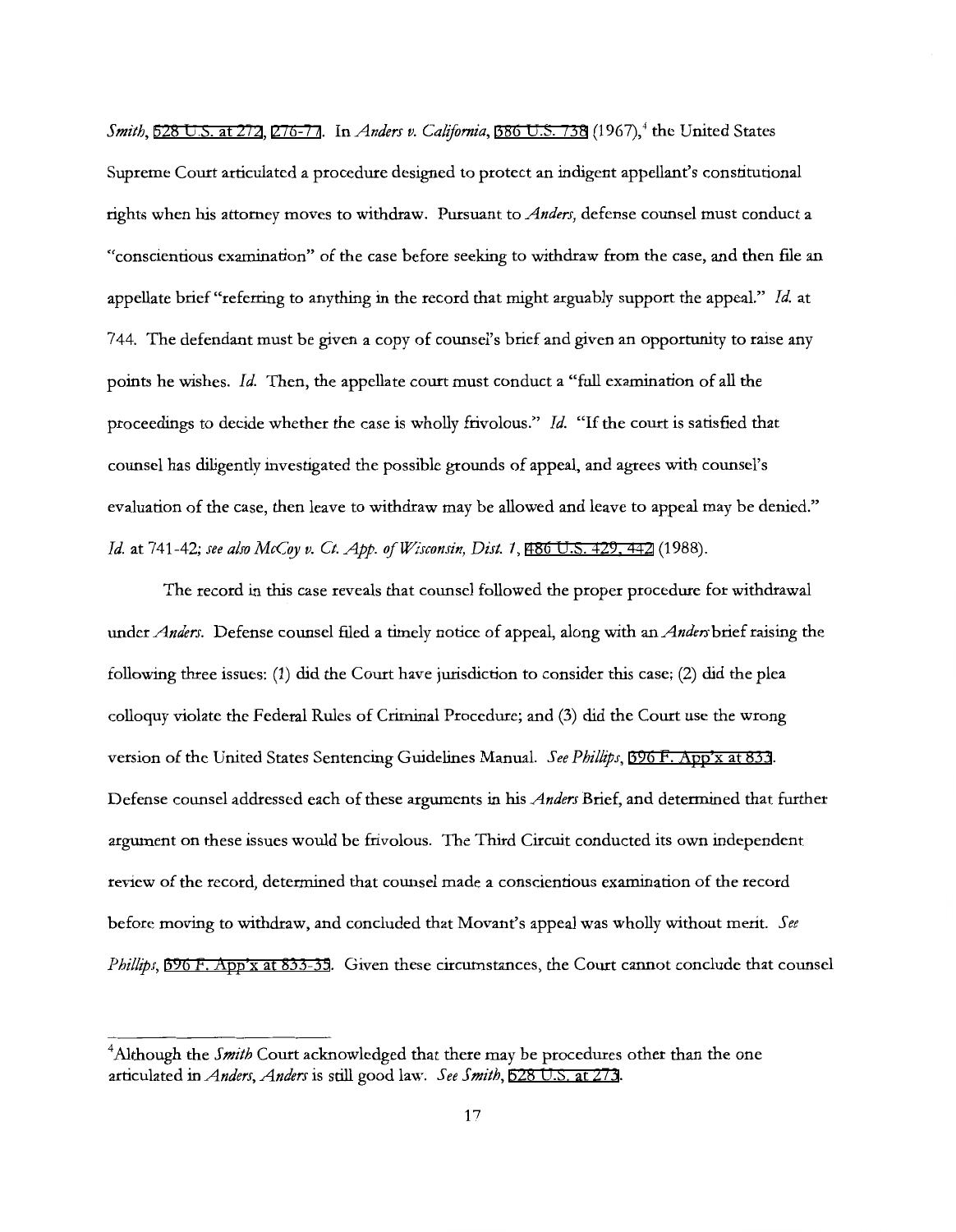*Smith*, [528 U.S. at 272,](http://scholar.google.com/scholar?q=528+u.s.+259&btnG=&hl=en&as_sdt=6) [276-77.](http://scholar.google.com/scholar?q=528+u.s.+259&btnG=&hl=en&as_sdt=6) In *Anders v. California*, [386 U.S. 738](http://scholar.google.com/scholar?q=386+u.s.+738&btnG=&hl=en&as_sdt=6) (1967),<sup>4</sup> the United States Supreme Court articulated a procedure designed to protect an indigent appellant's constitutional rights when his attorney moves to withdraw. Pursuant to *Anders,* defense counsel must conduct a "conscientious examination" of the case before seeking to withdraw from the case, and then file an appellate brief "referring to anything in the record that might arguably support the appeal." *Id.* at 744. The defendant must be given a copy of counsel's brief and given an opportunity to raise any points he wishes. *Id.* Then, the appellate court must conduct a "full examination of all the proceedings to decide whether the case is wholly frivolous." Id. "If the court is satisfied that counsel has diligently investigated the possible grounds of appeal, and agrees with counsel's evaluation of the case, then leave to withdraw may be allowed and leave to appeal may be denied." *Id.* at 741-42; see also McCoy v. Ct. App. of Wisconsin, Dist. 1, [486 U.S. 429, 442](http://scholar.google.com/scholar?q=486+u.s.+429&btnG=&hl=en&as_sdt=6) (1988).

The record in this case reveals that counsel followed the proper procedure for withdrawal under *Anders.* Defense counsel filed a timely notice of appeal, along with an *Anders* brief raising the following three issues: (1) did the Court have jurisdiction to consider this case; (2) did the plea colloquy violate the Federal Rules of Criminal Procedure; and (3) did the Court use the wrong version of the United States Sentencing Guidelines Manual. *See Phillips,* [396 F. App'x at 833.](http://scholar.google.com/scholar?q=396+f.+app) Defense counsel addressed each of these arguments in his *Anders* Brief, and determined that further argument on these issues would be frivolous. The Third Circuit conducted its own independent review of the record, determined that counsel made a conscientious examination of the record before moving to withdraw, and concluded that Movant's appeal was wholly without merit. *See Phillips,* [396 F. App'x at 833-35](http://scholar.google.com/scholar?q=396+f.+app). Given these circumstances, the Court cannot conclude that counsel

<sup>&</sup>lt;sup>4</sup>Although the *Smith* Court acknowledged that there may be procedures other than the one articulated in *Anders, Anders* is still good law. *See Smith,* [528 U.S. at 273](http://scholar.google.com/scholar?q=528+u.s.+259&btnG=&hl=en&as_sdt=6).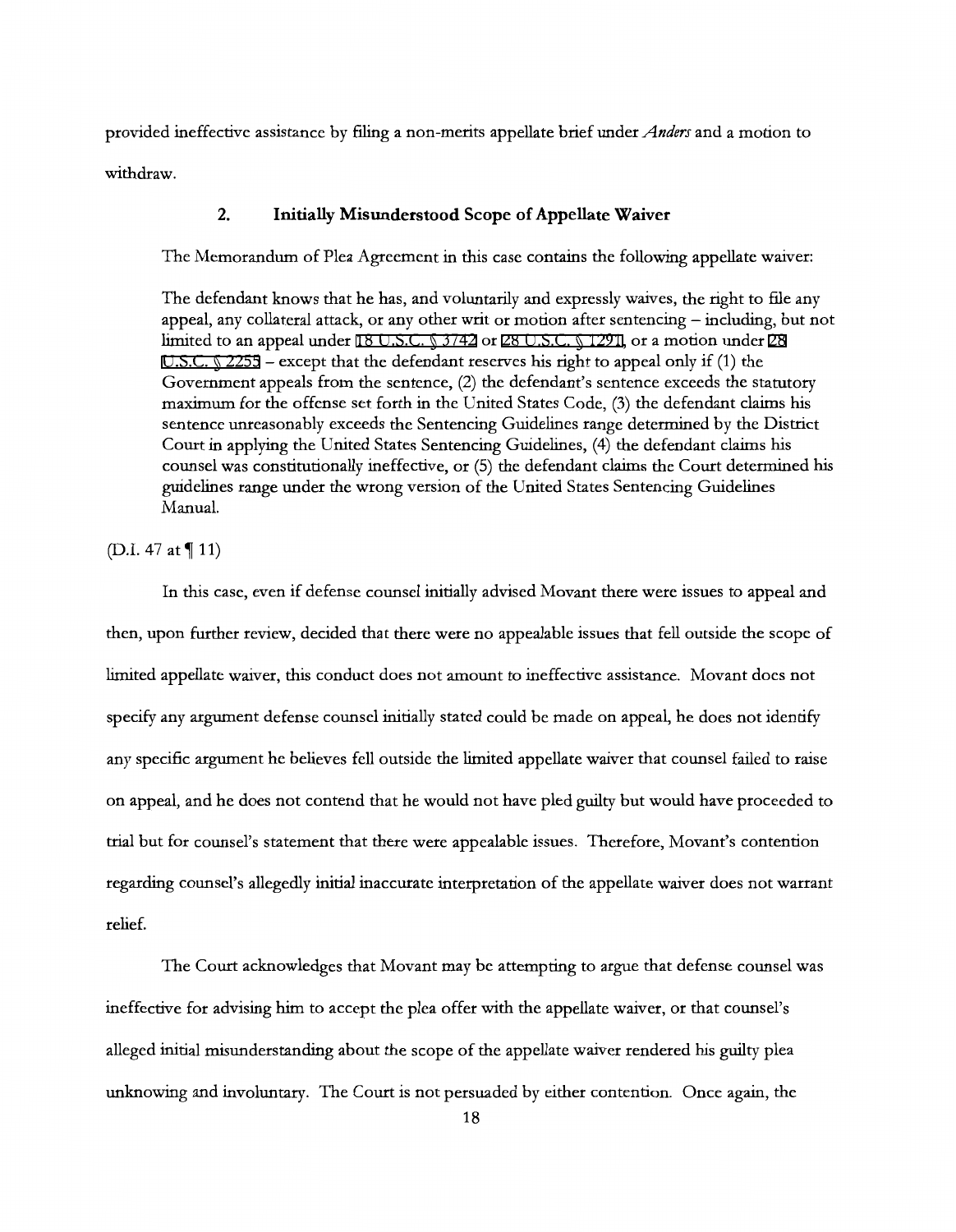provided ineffective assistance by filing a non-merits appellate brief under *Anders* and a motion to withdraw.

# **2. Initially Misunderstood Scope of Appellate Waiver**

The Memorandum of Plea Agreement in this case contains the following appellate waiver:

The defendant knows that he has, and voluntarily and expressly waives, the right to file any appeal, any collateral attack, or any other writ or motion after sentencing - including, but not limited to an appeal under [18 U.S.C. § 3742](http://www.google.com/search?q=18++u.s.c.++++3742) or [28 U.S.C. § 1291](http://www.google.com/search?q=28++u.s.c.++++1291), or a motion under [28](http://www.google.com/search?q=28+++u.s.c.++++2255) U.S.C.  $\Diamond$  2255 – except that the defendant reserves his right to appeal only if (1) the Government appeals from the sentence, (2) the defendant's sentence exceeds the statutory maximum for the offense set forth in the United States Code, (3) the defendant claims his sentence unreasonably exceeds the Sentencing Guidelines range determined by the District Court in applying the United States Sentencing Guidelines, (4) the defendant claims his counsel was constitutionally ineffective, or (5) the defendant claims the Court determined his guidelines range under the wrong version of the United States Sentencing Guidelines Manual.

(D.I. 47 at 11)

In this case, even if defense counsel initially advised Movant there were issues to appeal and then, upon further review, decided that there were no appealable issues that fell outside the scope of limited appellate waiver, this conduct does not amount to ineffective assistance. Movant does not specify any argument defense counsel initially stated could be made on appeal, he does not identify any specific argument he believes fell outside the limited appellate waiver that counsel failed to raise on appeal, and he does not contend that he would not have pled guilty but would have proceeded to trial but for counsel's statement that there were appealable issues. Therefore, Movant's contention regarding counsel's allegedly initial inaccurate interpretation of the appellate waiver does not warrant relief.

The Court acknowledges that Movant may be attempting to argue that defense counsel was ineffective for advising him to accept the plea offer with the appellate waiver, or that counsel's alleged initial misunderstanding about the scope of the appellate waiver rendered his guilty plea unknowing and involuntary. The Court is not persuaded by either contention. Once again, the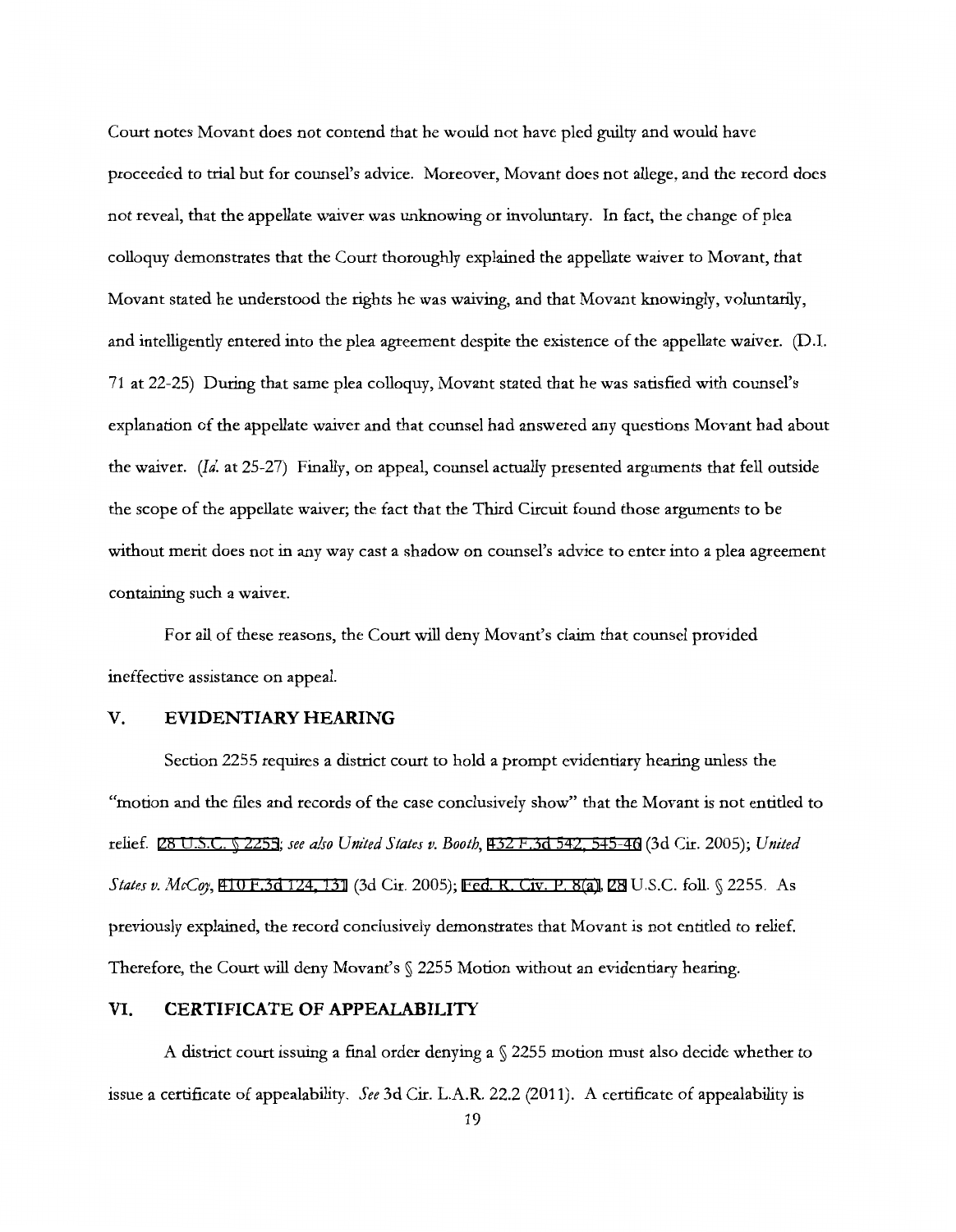Court notes Movant does not contend that he would not have pled guilty and would have proceeded to trial but for counsel's advice. Moreover, Movant does not allege, and the record does not reveal, that the appellate waiver was unknowing or involuntary. In fact, the change of plea colloquy demonstrates that the Court thoroughly explained the appellate waiver to Movant, that Movant stated he understood the rights he was waiving, and that Movant knowingly, voluntarily, and intelligently entered into the plea agreement despite the existence of the appellate waiver. (D.I. 71 at 22-25) During that same plea colloquy, Movant stated that he was satisfied with counsel's explanation of the appellate waiver and that counsel had answered any questions Movant had about the waiver. *(Id.* at 25-27) Finally, on appeal, counsel actually presented arguments that fell outside the scope of the appellate waiver; the fact that the Third Circuit found those arguments to be without merit does not in any way cast a shadow on counsel's advice to enter into a plea agreement containing such a waiver.

For all of these reasons, the Court will deny Movant's claim that counsel provided ineffective assistance on appeal.

# **V. EVIDENTIARY HEARING**

Section 2255 requires a district court to hold a prompt evidentiary hearing unless the "motion and the files and records of the case conclusively show" that the Movant is not entitled to relief. [28 U.S.C. § 2255](http://www.google.com/search?q=28+u.s.c.++2255); *see also United States v. Booth,* [432 F.3d 542, 545-46](http://scholar.google.com/scholar?q=432+f.3d+542&btnG=&hl=en&as_sdt=6) (3d Cir. 2005); *United States v. McCqy,* [410 F.3d 124, 131](http://scholar.google.com/scholar?q=410+f.3d+124&btnG=&hl=en&as_sdt=6) (3d Cir. 2005); [Fed. R. Civ. P. 8\(a\),](http://www.google.com/search?q=FRCP+8(a)) [28](http://www.google.com/search?q=28) U.S.C. foll. § 2255. As previously explained, the record conclusively demonstrates that Movant is not entitled to relief. Therefore, the Court will deny Movant's § 2255 Motion without an evidentiary hearing.

#### **VI. CERTIFICATE OF APPEALABILITY**

A district court issuing a final order denying a  $\sqrt{2255}$  motion must also decide whether to issue a certificate of appealability. *See* 3d Cir. L.A.R. 22.2 (2011). A certificate of appealability is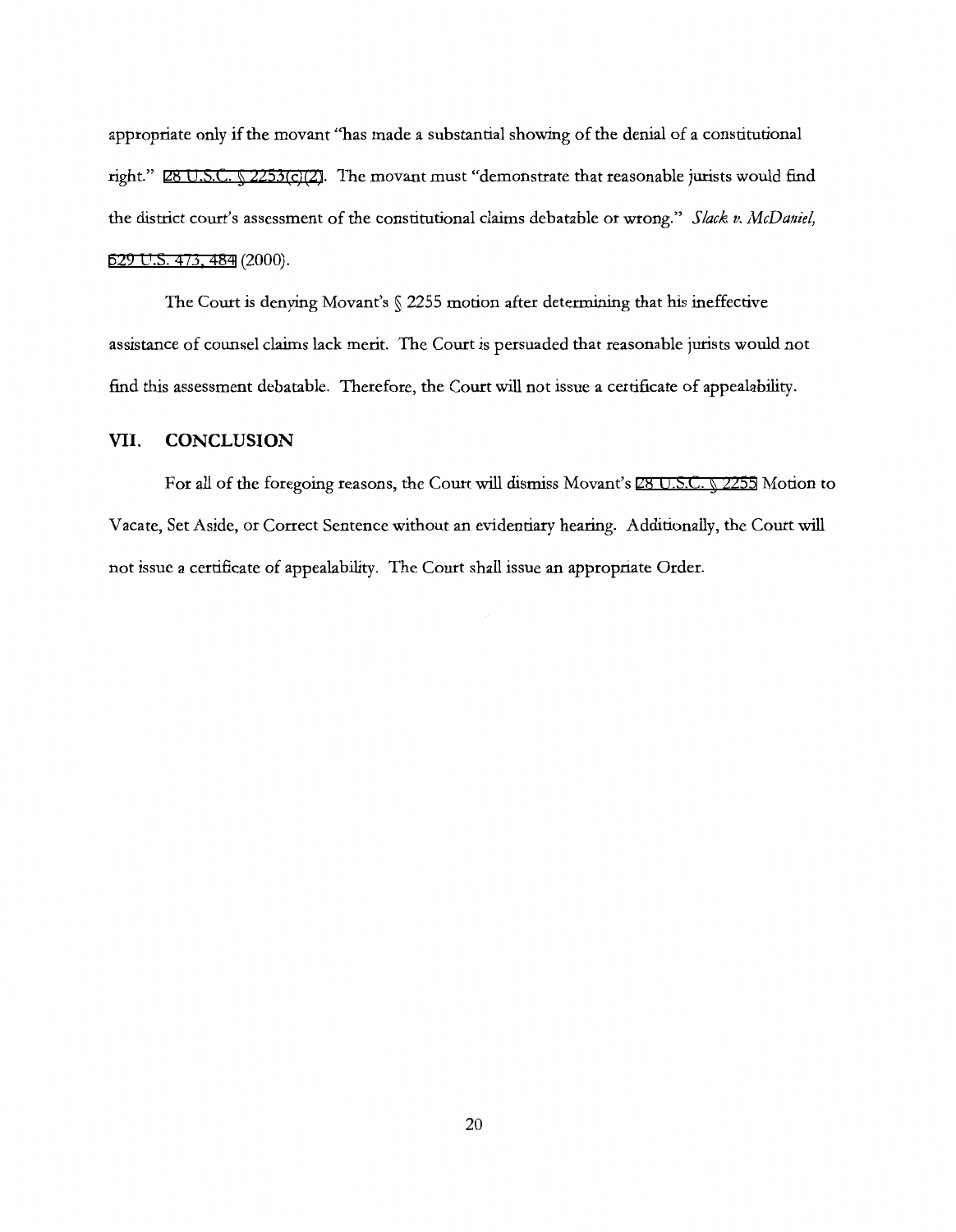appropriate only if the movant "has made a substantial showing of the denial of a constitutional right." [28 U.S.C. § 2253\(c\)\(2\)](http://www.google.com/search?q=28+u.s.c.++2253(c)(2)). The movant must "demonstrate that reasonable jurists would find the district court's assessment of the constitutional claims debatable or wrong." *Slack v. McDaniel,*  [529 U.S. 473, 484](http://scholar.google.com/scholar?q=529+u.s.+473&btnG=&hl=en&as_sdt=6) (2000).

The Court is denying Movant's § 2255 motion after determining that his ineffective assistance of counsel claims lack merit. The Court is persuaded that reasonable jurists would not find this assessment debatable. Therefore, the Court will not issue a certificate of appealability.

#### **VII. CONCLUSION**

For all of the foregoing reasons, the Court will dismiss Movant's [28 U.S.C. § 2255](http://www.google.com/search?q=28+u.s.c.++2255) Motion to Vacate, Set Aside, or Correct Sentence without an evidentiary hearing. Additionally, the Court will not issue a certificate of appealability. The Court shall issue an appropriate Order.